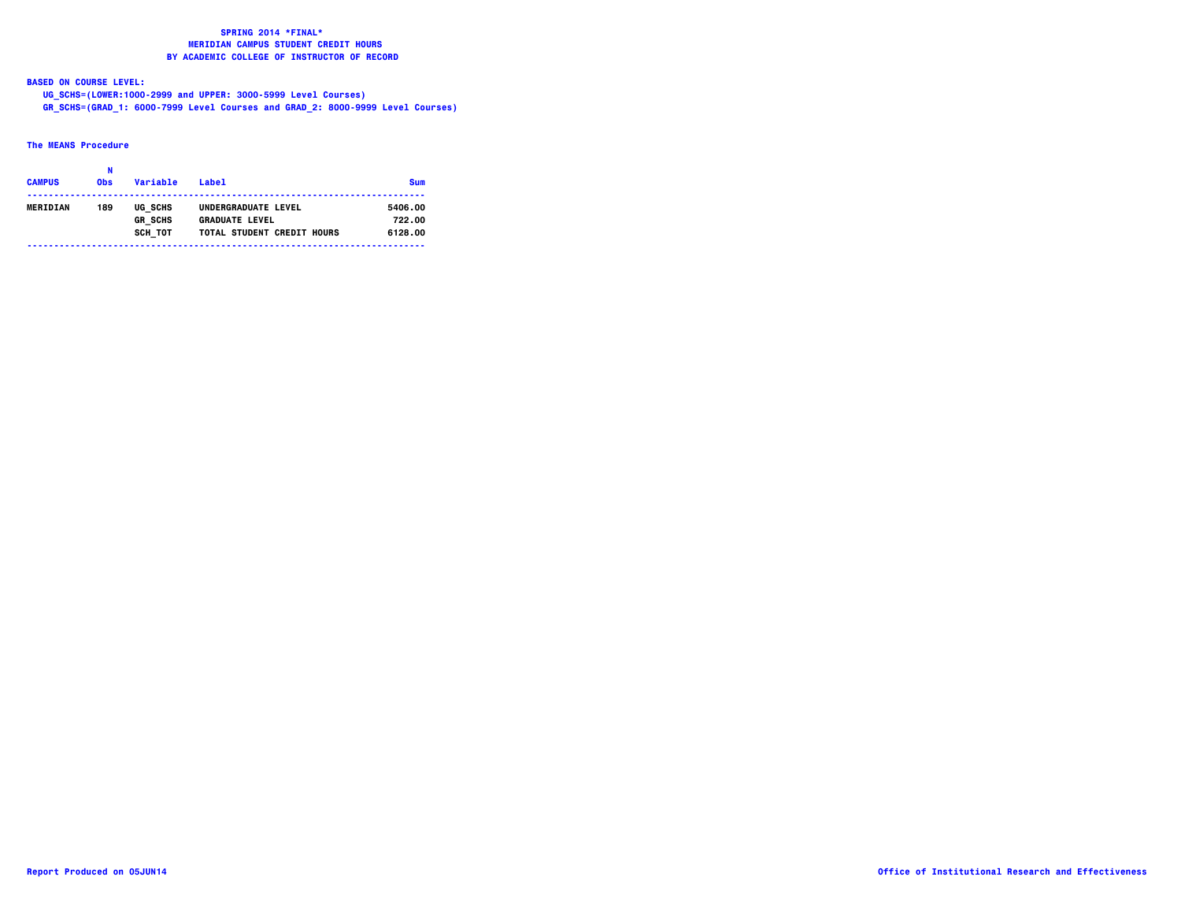**BASED ON COURSE LEVEL:**

  **UG\_SCHS=(LOWER:1000-2999 and UPPER: 3000-5999 Level Courses) GR\_SCHS=(GRAD\_1: 6000-7999 Level Courses and GRAD\_2: 8000-9999 Level Courses)**

### **The MEANS Procedure**

| <b>CAMPUS</b> | <b>Obs</b> | Variable                  | l abel                                       | <b>Sum</b>        |
|---------------|------------|---------------------------|----------------------------------------------|-------------------|
| MERIDIAN      | 189        | UG SCHS<br><b>GR SCHS</b> | UNDERGRADUATE LEVEL<br><b>GRADUATE LEVEL</b> | 5406.00<br>722.00 |
|               |            | SCH TOT                   | TOTAL STUDENT CREDIT HOURS                   | 6128.00           |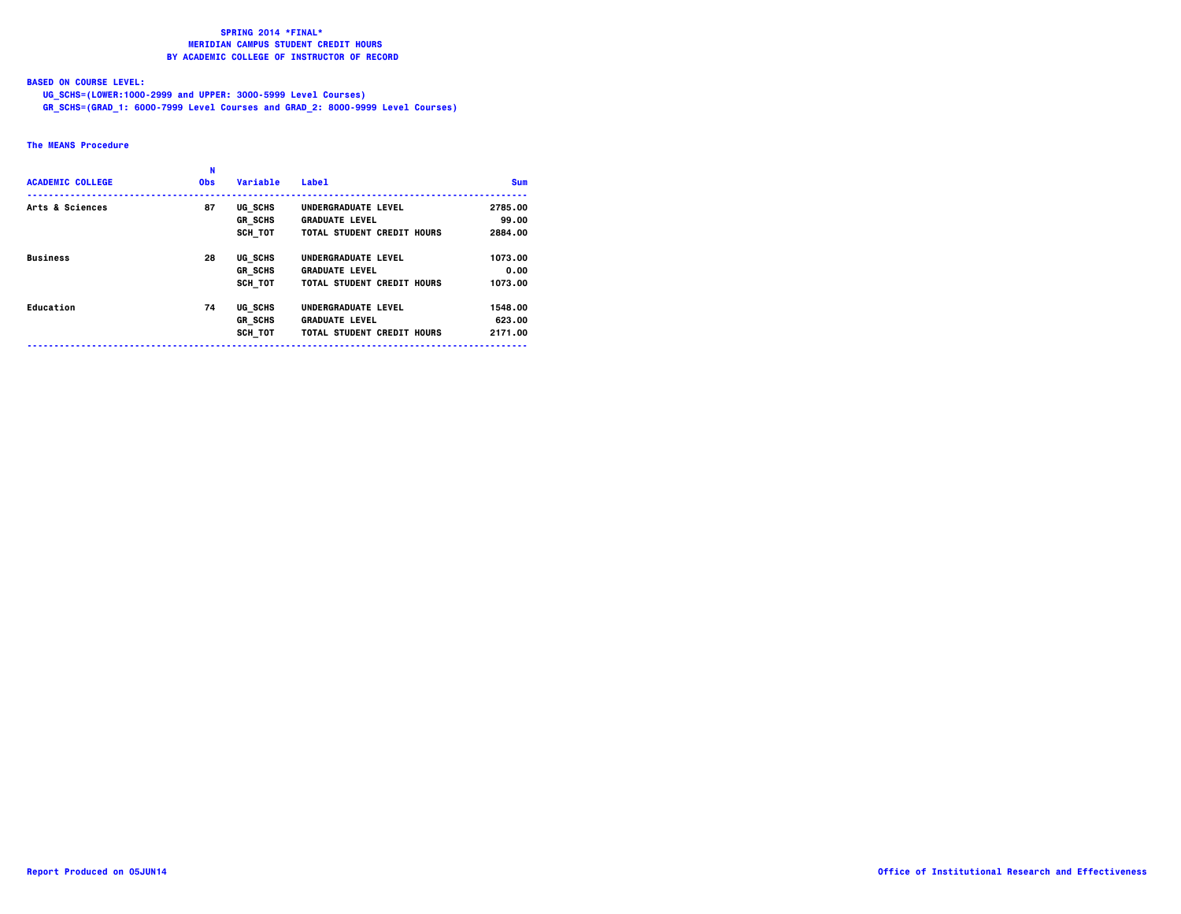### **BASED ON COURSE LEVEL:**

 **UG\_SCHS=(LOWER:1000-2999 and UPPER: 3000-5999 Level Courses)**

 **GR\_SCHS=(GRAD\_1: 6000-7999 Level Courses and GRAD\_2: 8000-9999 Level Courses)**

### **The MEANS Procedure**

| <b>ACADEMIC COLLEGE</b> | N<br><b>Obs</b> | Variable       | <b>Label</b>               | <b>Sum</b> |
|-------------------------|-----------------|----------------|----------------------------|------------|
| Arts & Sciences         | 87              | UG SCHS        | UNDERGRADUATE LEVEL        | 2785.00    |
|                         |                 | <b>GR SCHS</b> | <b>GRADUATE LEVEL</b>      | 99.00      |
|                         |                 | SCH TOT        | TOTAL STUDENT CREDIT HOURS | 2884.00    |
| <b>Business</b>         | 28              | UG SCHS        | UNDERGRADUATE LEVEL        | 1073.00    |
|                         |                 | <b>GR SCHS</b> | <b>GRADUATE LEVEL</b>      | 0.00       |
|                         |                 | SCH TOT        | TOTAL STUDENT CREDIT HOURS | 1073.00    |
| Education               | 74              | UG SCHS        | UNDERGRADUATE LEVEL        | 1548.00    |
|                         |                 | <b>GR SCHS</b> | <b>GRADUATE LEVEL</b>      | 623.00     |
|                         |                 | SCH TOT        | TOTAL STUDENT CREDIT HOURS | 2171.00    |
|                         |                 |                |                            |            |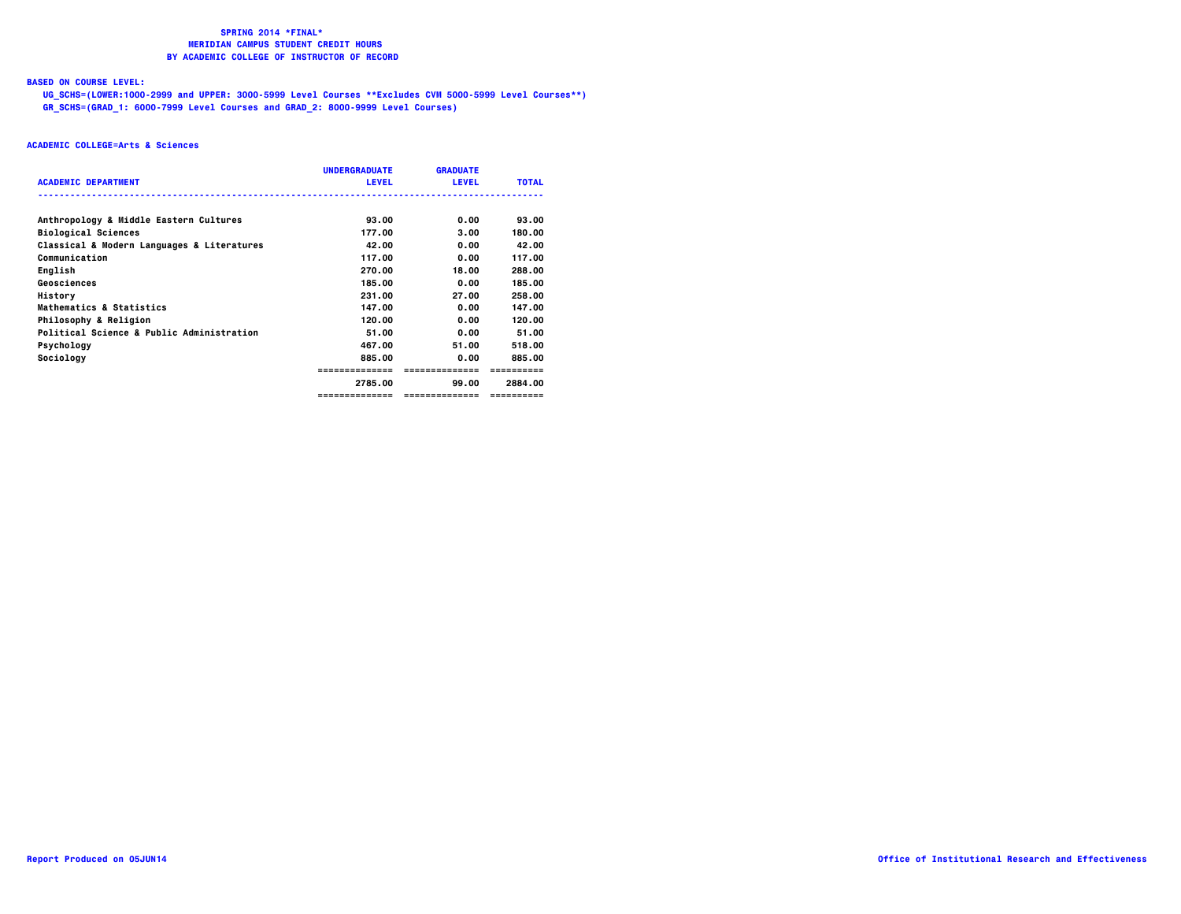# **BASED ON COURSE LEVEL:**

  **UG\_SCHS=(LOWER:1000-2999 and UPPER: 3000-5999 Level Courses \*\*Excludes CVM 5000-5999 Level Courses\*\*) GR\_SCHS=(GRAD\_1: 6000-7999 Level Courses and GRAD\_2: 8000-9999 Level Courses)**

|                                            | <b>UNDERGRADUATE</b> | <b>GRADUATE</b> |              |
|--------------------------------------------|----------------------|-----------------|--------------|
| <b>ACADEMIC DEPARTMENT</b>                 | <b>LEVEL</b>         | <b>LEVEL</b>    | <b>TOTAL</b> |
| Anthropology & Middle Eastern Cultures     | 93.00                | 0.00            | 93.00        |
| <b>Biological Sciences</b>                 | 177.00               | 3.00            | 180.00       |
| Classical & Modern Languages & Literatures | 42.00                | 0.00            | 42.00        |
| Communication                              | 117.00               | 0.00            | 117.00       |
| English                                    | 270.00               | 18.00           | 288.00       |
| Geosciences                                | 185.00               | 0.00            | 185.00       |
| History                                    | 231.00               | 27.00           | 258.00       |
| Mathematics & Statistics                   | 147.00               | 0.00            | 147.00       |
| Philosophy & Religion                      | 120.00               | 0.00            | 120.00       |
| Political Science & Public Administration  | 51.00                | 0.00            | 51.00        |
| Psychology                                 | 467.00               | 51.00           | 518.00       |
| Sociology                                  | 885.00               | 0.00            | 885.00       |
|                                            | ==============       | ==============  |              |
|                                            | 2785.00              | 99.00           | 2884.00      |
|                                            | ==============       | ==============  | ==========   |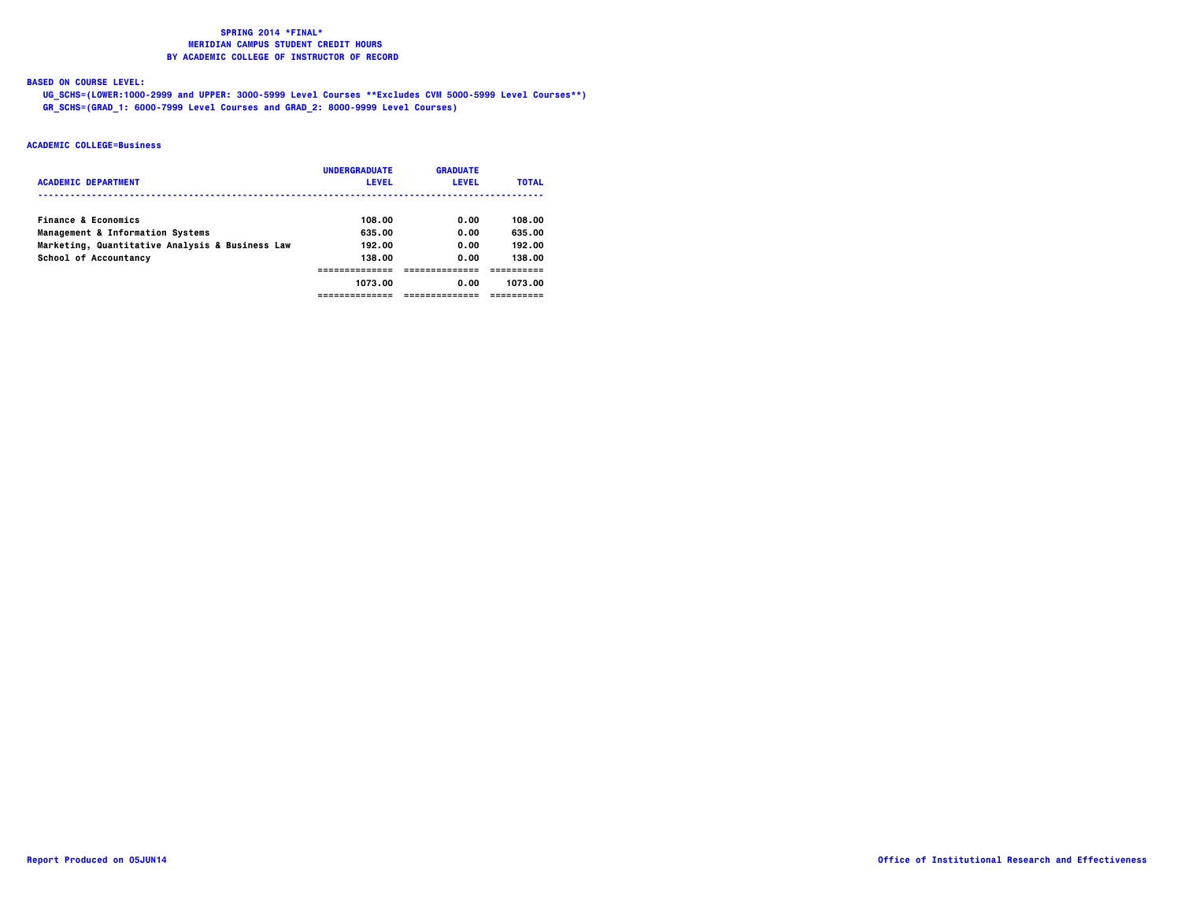**BASED ON COURSE LEVEL:**

  **UG\_SCHS=(LOWER:1000-2999 and UPPER: 3000-5999 Level Courses \*\*Excludes CVM 5000-5999 Level Courses\*\*) GR\_SCHS=(GRAD\_1: 6000-7999 Level Courses and GRAD\_2: 8000-9999 Level Courses)**

| <b>ACADEMIC DEPARTMENT</b>                      | <b>UNDERGRADUATE</b><br><b>LEVEL</b> | <b>GRADUATE</b><br><b>LEVEL</b> | <b>TOTAL</b> |
|-------------------------------------------------|--------------------------------------|---------------------------------|--------------|
| <b>Finance &amp; Economics</b>                  | 108.00                               | 0.00                            | 108.00       |
| Management & Information Systems                | 635.00                               | 0.00                            | 635.00       |
| Marketing, Quantitative Analysis & Business Law | 192.00                               | 0.00                            | 192.00       |
| School of Accountancy                           | 138.00                               | 0.00                            | 138.00       |
|                                                 |                                      |                                 |              |
|                                                 | 1073.00                              | 0.00                            | 1073.00      |
|                                                 |                                      |                                 |              |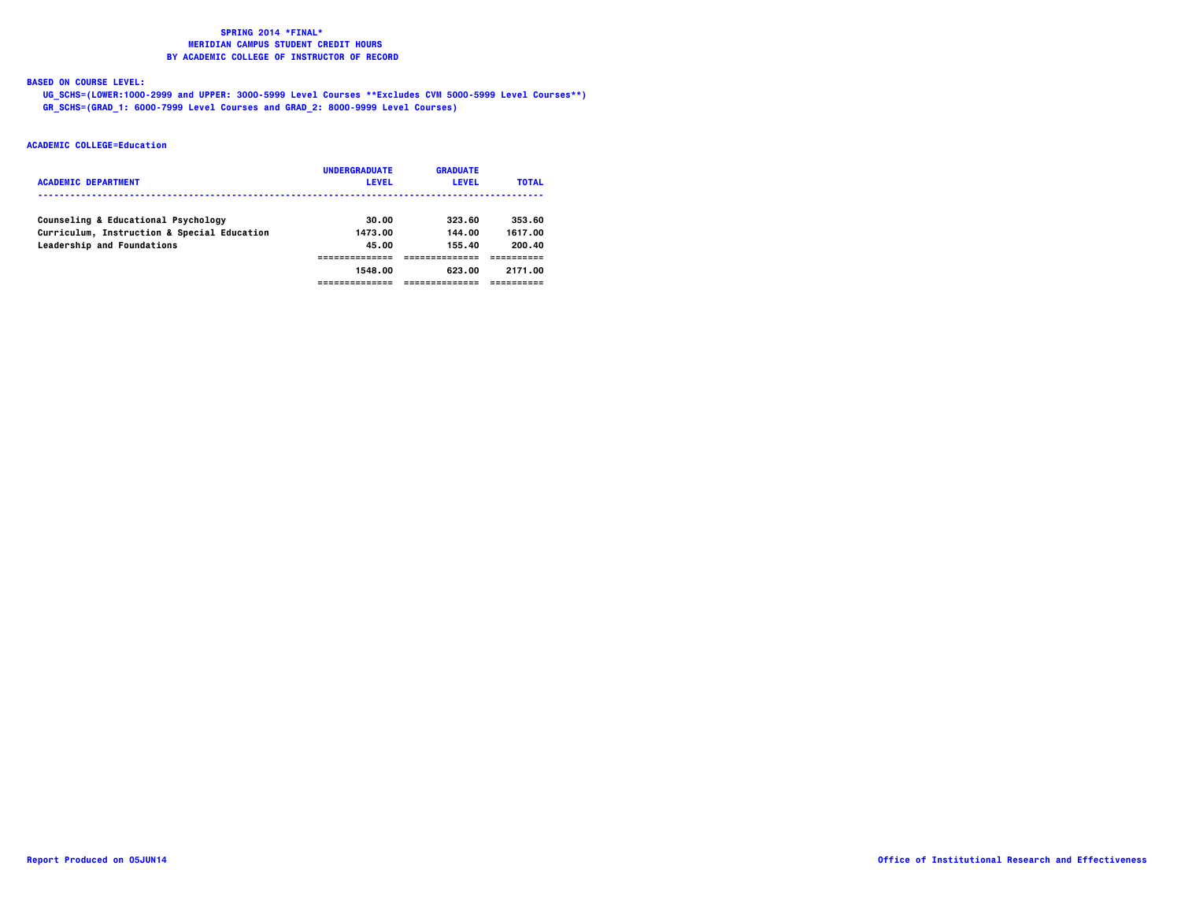**BASED ON COURSE LEVEL:**

  **UG\_SCHS=(LOWER:1000-2999 and UPPER: 3000-5999 Level Courses \*\*Excludes CVM 5000-5999 Level Courses\*\*) GR\_SCHS=(GRAD\_1: 6000-7999 Level Courses and GRAD\_2: 8000-9999 Level Courses)**

| <b>ACADEMIC DEPARTMENT</b>                  | <b>UNDERGRADUATE</b><br><b>LEVEL</b> | <b>GRADUATE</b><br><b>LEVEL</b> | <b>TOTAL</b> |
|---------------------------------------------|--------------------------------------|---------------------------------|--------------|
| Counseling & Educational Psychology         | 30.00                                | 323.60                          | 353.60       |
| Curriculum, Instruction & Special Education | 1473.00                              | 144.00                          | 1617.00      |
| Leadership and Foundations                  | 45.00                                | 155.40                          | 200.40       |
|                                             |                                      |                                 |              |
|                                             | 1548.00                              | 623.00                          | 2171.00      |
|                                             |                                      |                                 |              |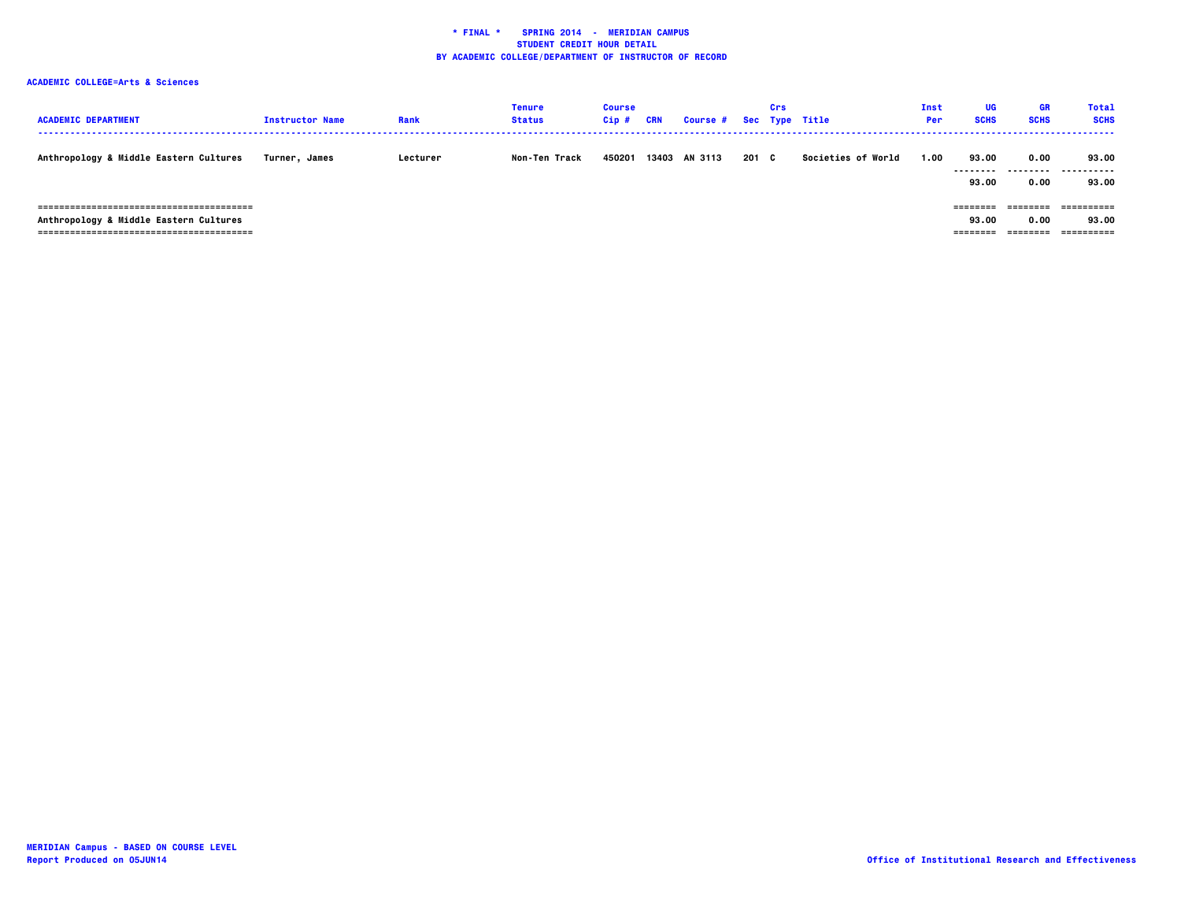| <b>ACADEMIC DEPARTMENT</b>                                              | <b>Instructor Name</b> | Rank     | <b>Tenure</b><br><b>Status</b> | <b>Course</b><br>Cip# | CRN | <b>Course #</b> |       | Crs | Sec Type Title            | Inst<br>Per | UG<br><b>SCHS</b>               | GR<br><b>SCHS</b>              | Total<br><b>SCHS</b>              |
|-------------------------------------------------------------------------|------------------------|----------|--------------------------------|-----------------------|-----|-----------------|-------|-----|---------------------------|-------------|---------------------------------|--------------------------------|-----------------------------------|
| Anthropology & Middle Eastern Cultures                                  | Turner. James          | Lecturer | Non-Ten Track                  | 450201                |     | 13403 AN 3113   | 201 C |     | <b>Societies of World</b> | 1.00        | 93.00<br>--------<br>93.00      | 0.00<br>0.00                   | 93.00<br>----------<br>93.00      |
| =============================<br>Anthropology & Middle Eastern Cultures |                        |          |                                |                       |     |                 |       |     |                           |             | ---------<br>93.00<br>--------- | ---------<br>0.00<br>--------- | ==========<br>93.00<br>========== |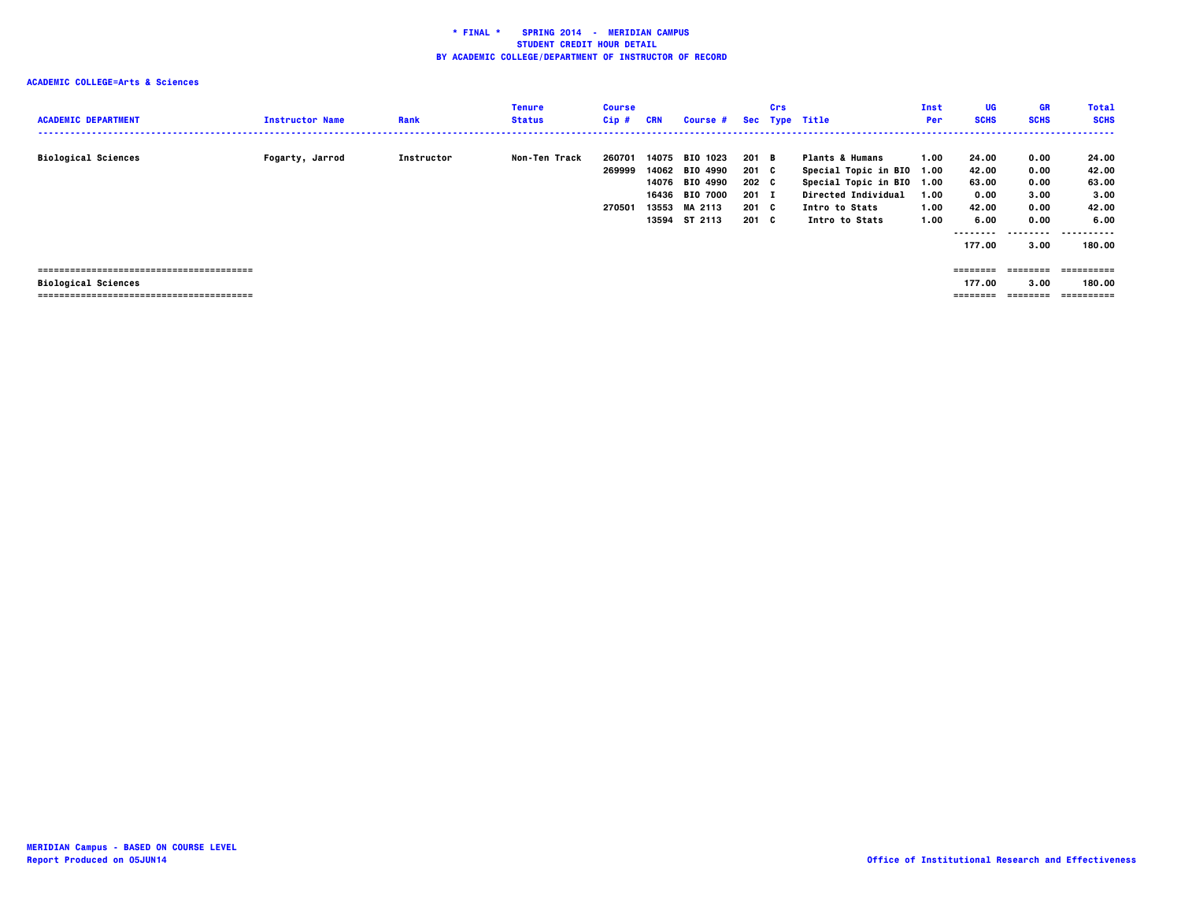| <b>ACADEMIC DEPARTMENT</b> | <b>Instructor Name</b> | Rank       | Tenure<br><b>Status</b> | <b>Course</b><br>$Cip$ #   | <b>CRN</b>                       | Course #                                                                                               |                                                              | Crs | Sec Type Title                                                                                                                                         | Inst<br>Per                  | <b>UG</b><br><b>SCHS</b>                                               | <b>GR</b><br><b>SCHS</b>                                         | <b>Total</b><br><b>SCHS</b><br>.                                     |
|----------------------------|------------------------|------------|-------------------------|----------------------------|----------------------------------|--------------------------------------------------------------------------------------------------------|--------------------------------------------------------------|-----|--------------------------------------------------------------------------------------------------------------------------------------------------------|------------------------------|------------------------------------------------------------------------|------------------------------------------------------------------|----------------------------------------------------------------------|
| <b>Biological Sciences</b> | Fogarty, Jarrod        | Instructor | Non-Ten Track           | 260701<br>269999<br>270501 | 14075<br>14076<br>16436<br>13553 | 1023<br><b>BIO</b><br>14062 BIO 4990<br><b>BIO 4990</b><br><b>BIO 7000</b><br>MA 2113<br>13594 ST 2113 | 201 B<br>201 C<br>$202 \quad C$<br>$201$ I<br>201 C<br>201 C |     | <b>Plants &amp; Humans</b><br>Special Topic in BIO 1.00<br>Special Topic in BIO 1.00<br><b>Directed Individual</b><br>Intro to Stats<br>Intro to Stats | 1.00<br>1.00<br>1.00<br>1.00 | 24.00<br>42.00<br>63.00<br>0.00<br>42.00<br>6.00<br>--------<br>177.00 | 0.00<br>0.00<br>0.00<br>3.00<br>0.00<br>0.00<br>--------<br>3.00 | 24.00<br>42.00<br>63.00<br>3.00<br>42.00<br>6.00<br>.<br>.<br>180.00 |
| <b>Biological Sciences</b> |                        |            |                         |                            |                                  |                                                                                                        |                                                              |     |                                                                                                                                                        |                              | ========<br>177.00<br>========                                         | ========<br>3.00<br>$= 222222222$                                | ==========<br>180.00<br>==========                                   |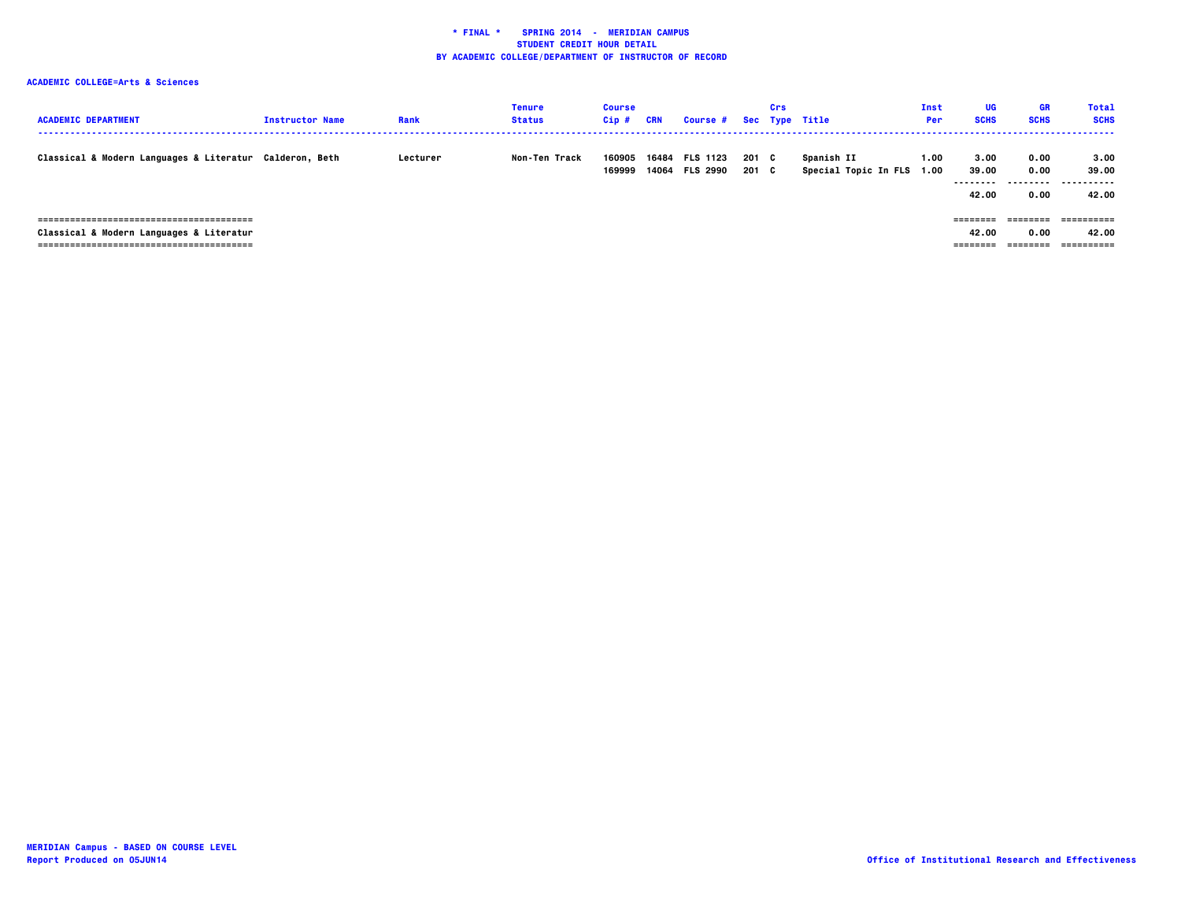| <b>ACADEMIC DEPARTMENT</b>                              | <b>Instructor Name</b> | Rank     | <b>Tenure</b><br><b>Status</b> | <b>Course</b><br>Cip# | CRN   | <b>Course #</b>                   |                | Crs | Sec Type Title                          | Inst<br>Per | UG<br><b>SCHS</b>                   | GR<br><b>SCHS</b>                | <b>Total</b><br><b>SCHS</b>        |
|---------------------------------------------------------|------------------------|----------|--------------------------------|-----------------------|-------|-----------------------------------|----------------|-----|-----------------------------------------|-------------|-------------------------------------|----------------------------------|------------------------------------|
| Classical & Modern Languages & Literatur Calderon, Beth |                        | Lecturer | Non-Ten Track                  | 160905<br>169999      | 16484 | <b>FLS 1123</b><br>14064 FLS 2990 | 201 C<br>201 C |     | Spanish II<br>Special Topic In FLS 1.00 | 1.00        | 3.00<br>39.00<br>---------<br>42.00 | 0.00<br>0.00<br>--------<br>0.00 | 3.00<br>39.00<br>.<br>. .<br>42.00 |
| Classical & Modern Languages & Literatur                |                        |          |                                |                       |       |                                   |                |     |                                         |             | ========<br>42.00<br>---------      | ========<br>0.00<br>========     | 42.00<br>==========                |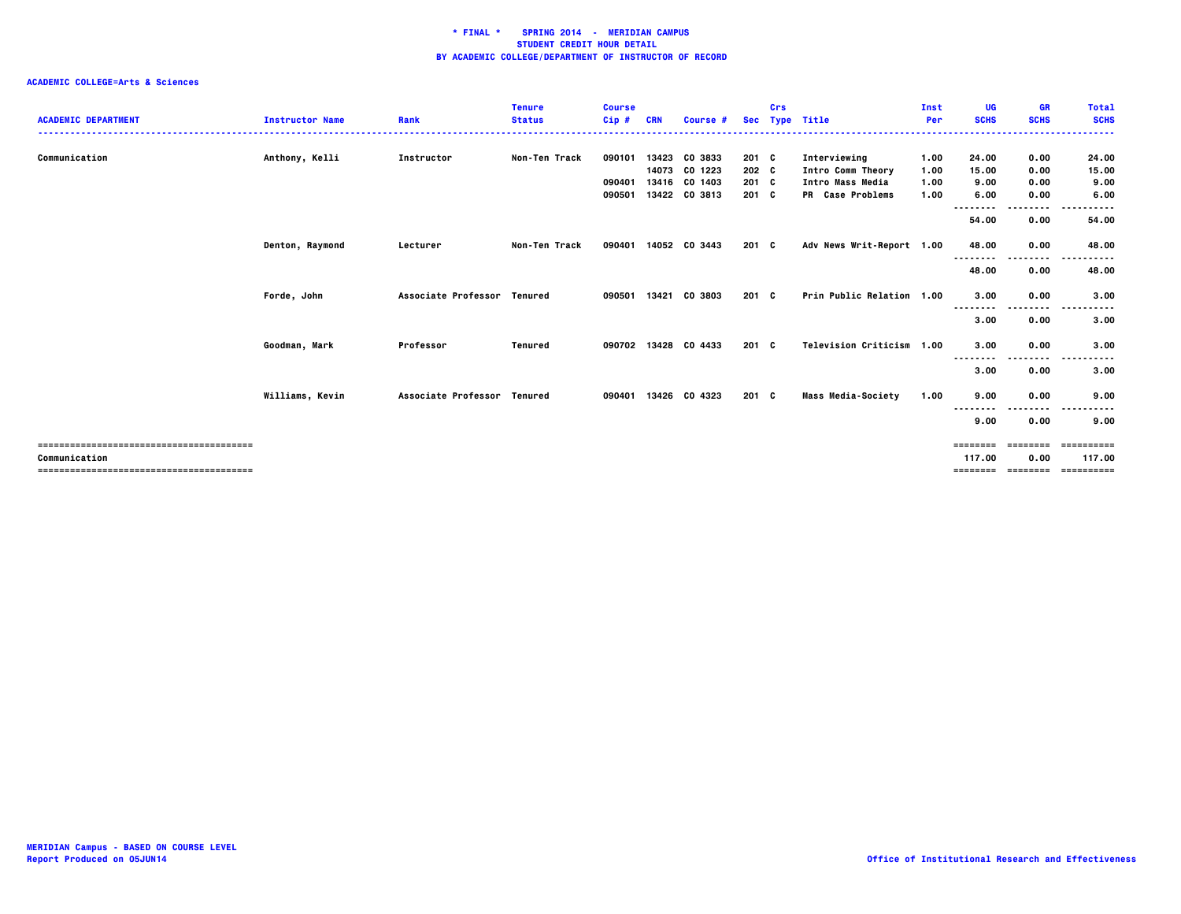| <b>ACADEMIC DEPARTMENT</b> | <b>Instructor Name</b> | Rank                        | <b>Tenure</b><br><b>Status</b> | <b>Course</b><br>Cip# | <b>CRN</b>     | Course #           | <b>Sec</b>     | Crs | <b>Type Title</b>                     | Inst<br>Per  | UG<br><b>SCHS</b> | <b>GR</b><br><b>SCHS</b> | <b>Total</b><br><b>SCHS</b>           |
|----------------------------|------------------------|-----------------------------|--------------------------------|-----------------------|----------------|--------------------|----------------|-----|---------------------------------------|--------------|-------------------|--------------------------|---------------------------------------|
|                            |                        |                             |                                |                       |                |                    |                |     |                                       |              |                   |                          |                                       |
| Communication              | Anthony, Kelli         | Instructor                  | Non-Ten Track                  | 090101                | 13423          | CO 3833            | 201 C          |     | Interviewing                          | 1.00         | 24.00             | 0.00                     | 24.00                                 |
|                            |                        |                             |                                | 090401                | 14073<br>13416 | CO 1223<br>CO 1403 | 202 C<br>201 C |     | Intro Comm Theory<br>Intro Mass Media | 1.00<br>1.00 | 15.00<br>9.00     | 0.00<br>0.00             | 15.00<br>9.00                         |
|                            |                        |                             |                                | 090501                | 13422          | CO 3813            | $201 \quad C$  |     | PR Case Problems                      | 1.00         | 6.00              | 0.00                     | 6.00                                  |
|                            |                        |                             |                                |                       |                |                    |                |     |                                       |              | . .<br>.          | .                        | $- - -$<br>.                          |
|                            |                        |                             |                                |                       |                |                    |                |     |                                       |              | 54.00             | 0.00                     | 54.00                                 |
|                            | Denton, Raymond        | Lecturer                    | Non-Ten Track                  | 090401                |                | 14052 CO 3443      | $201 \quad C$  |     | Adv News Writ-Report 1.00             |              | 48.00             | 0.00                     | 48.00                                 |
|                            |                        |                             |                                |                       |                |                    |                |     |                                       |              | --------          | $- - - -$                |                                       |
|                            |                        |                             |                                |                       |                |                    |                |     |                                       |              | 48.00             | 0.00                     | 48.00                                 |
|                            | Forde, John            | Associate Professor Tenured |                                | 090501                |                | 13421 CO 3803      | $201 \quad C$  |     | Prin Public Relation 1.00             |              | 3.00              | 0.00                     | 3.00                                  |
|                            |                        |                             |                                |                       |                |                    |                |     |                                       |              | --------<br>3.00  | .<br>0.00                | .<br>. <b>.</b><br>3.00               |
|                            | Goodman, Mark          | Professor                   | Tenured                        | 090702                |                | 13428 CO 4433      | $201 \quad C$  |     | Television Criticism 1.00             |              | 3.00<br>--------  | 0.00<br>--------         | 3.00<br>$\sim$ $\sim$ $\sim$<br>----- |
|                            |                        |                             |                                |                       |                |                    |                |     |                                       |              | 3.00              | 0.00                     | 3.00                                  |
|                            | Williams, Kevin        | Associate Professor Tenured |                                | 090401                |                | 13426 CO 4323      | 201 C          |     | <b>Mass Media-Society</b>             | 1.00         | 9.00<br>--------  | 0.00                     | 9.00                                  |
|                            |                        |                             |                                |                       |                |                    |                |     |                                       |              | 9.00              | 0.00                     | 9.00                                  |
|                            |                        |                             |                                |                       |                |                    |                |     |                                       |              | ========          | ========                 | ==========                            |
| Communication              |                        |                             |                                |                       |                |                    |                |     |                                       |              | 117.00            | 0.00                     | 117.00                                |
|                            |                        |                             |                                |                       |                |                    |                |     |                                       |              | ========          | ---------                | -----------                           |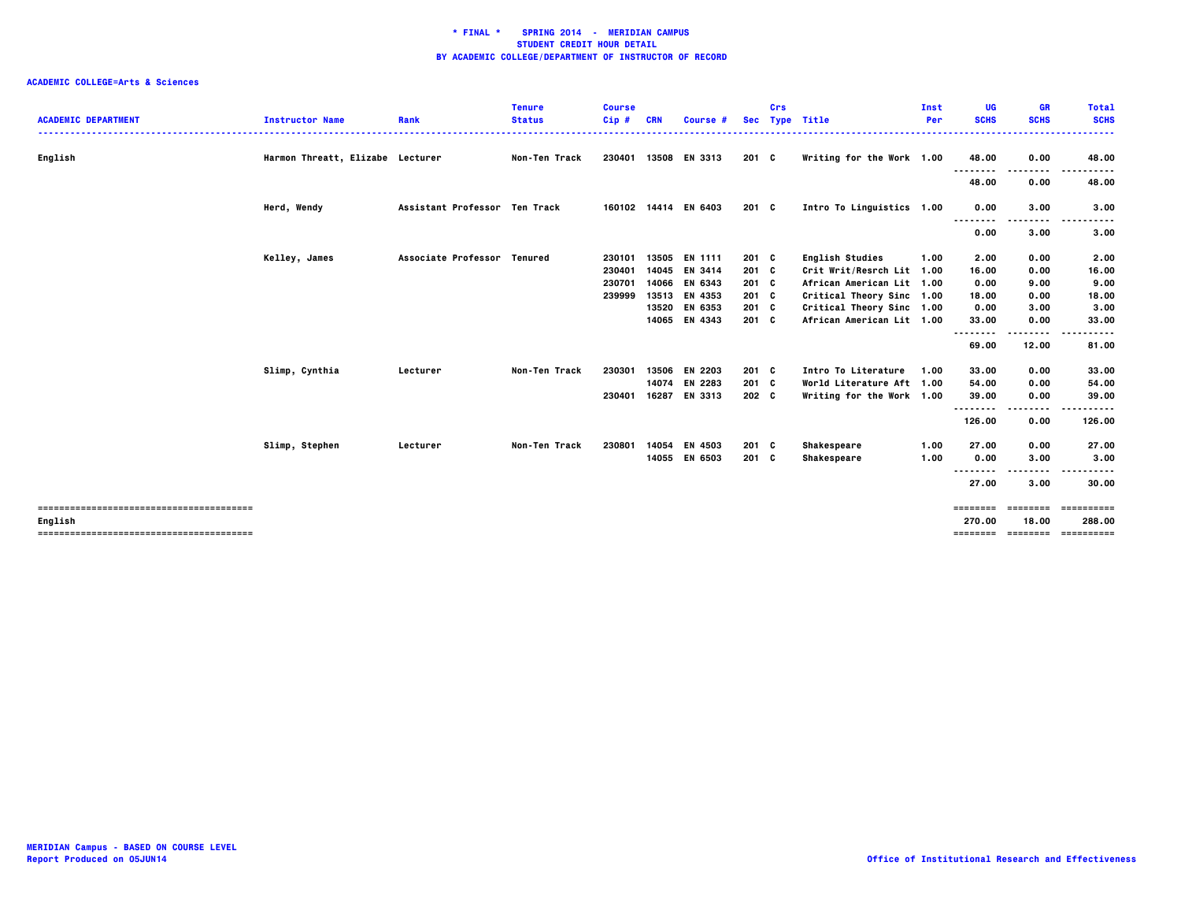|                            |                                  |                               | <b>Tenure</b>        | <b>Course</b> |            |                      |               | Crs |                           | Inst | UG          | <b>GR</b>   | <b>Total</b>     |
|----------------------------|----------------------------------|-------------------------------|----------------------|---------------|------------|----------------------|---------------|-----|---------------------------|------|-------------|-------------|------------------|
| <b>ACADEMIC DEPARTMENT</b> | <b>Instructor Name</b>           | Rank                          | <b>Status</b>        | $Cip$ #       | <b>CRN</b> | Course #             |               |     | Sec Type Title            | Per  | <b>SCHS</b> | <b>SCHS</b> | <b>SCHS</b><br>. |
|                            |                                  |                               |                      |               |            |                      |               |     |                           |      |             |             |                  |
| English                    | Harmon Threatt, Elizabe Lecturer |                               | <b>Non-Ten Track</b> |               |            | 230401 13508 EN 3313 | 201 C         |     | Writing for the Work 1.00 |      | 48.00       | 0.00        | 48.00            |
|                            |                                  |                               |                      |               |            |                      |               |     |                           |      | .<br>48.00  | 0.00        | 48.00            |
|                            |                                  |                               |                      |               |            |                      |               |     |                           |      |             |             |                  |
|                            | Herd, Wendy                      | Assistant Professor Ten Track |                      |               |            | 160102 14414 EN 6403 | $201 \quad C$ |     | Intro To Linguistics 1.00 |      | 0.00        | 3.00        | 3.00             |
|                            |                                  |                               |                      |               |            |                      |               |     |                           |      |             | .           | .                |
|                            |                                  |                               |                      |               |            |                      |               |     |                           |      | 0.00        | 3.00        | 3.00             |
|                            | Kelley, James                    | Associate Professor Tenured   |                      | 230101        | 13505      | EN 1111              | $201$ C       |     | <b>English Studies</b>    | 1.00 | 2.00        | 0.00        | 2.00             |
|                            |                                  |                               |                      | 230401        | 14045      | EN 3414              | 201 C         |     | Crit Writ/Resrch Lit 1.00 |      | 16.00       | 0.00        | 16.00            |
|                            |                                  |                               |                      | 230701        |            | 14066 EN 6343        | $201$ C       |     | African American Lit 1.00 |      | 0.00        | 9.00        | 9.00             |
|                            |                                  |                               |                      | 239999        |            | 13513 EN 4353        | $201$ C       |     | Critical Theory Sinc 1.00 |      | 18.00       | 0.00        | 18.00            |
|                            |                                  |                               |                      |               | 13520      | EN 6353              | 201 C         |     | Critical Theory Sinc 1.00 |      | 0.00        | 3.00        | 3.00             |
|                            |                                  |                               |                      |               |            | 14065 EN 4343        | $201$ C       |     | African American Lit 1.00 |      | 33.00       | 0.00        | 33.00            |
|                            |                                  |                               |                      |               |            |                      |               |     |                           |      | .           | .           |                  |
|                            |                                  |                               |                      |               |            |                      |               |     |                           |      | 69.00       | 12.00       | 81.00            |
|                            | Slimp, Cynthia                   | Lecturer                      | Non-Ten Track        | 230301        | 13506      | EN 2203              | $201 \quad C$ |     | Intro To Literature       | 1.00 | 33.00       | 0.00        | 33.00            |
|                            |                                  |                               |                      |               | 14074      | EN 2283              | 201 C         |     | World Literature Aft 1.00 |      | 54.00       | 0.00        | 54.00            |
|                            |                                  |                               |                      | 230401        |            | 16287 EN 3313        | 202 C         |     | Writing for the Work 1.00 |      | 39.00       | 0.00        | 39.00            |
|                            |                                  |                               |                      |               |            |                      |               |     |                           |      | .           |             |                  |
|                            |                                  |                               |                      |               |            |                      |               |     |                           |      | 126.00      | 0.00        | 126.00           |
|                            | Slimp, Stephen                   | Lecturer                      | Non-Ten Track        | 230801        | 14054      | EN 4503              | $201$ C       |     | Shakespeare               | 1.00 | 27.00       | 0.00        | 27.00            |
|                            |                                  |                               |                      |               | 14055      | EN 6503              | $201$ C       |     | Shakespeare               | 1.00 | 0.00        | 3.00        | 3.00             |
|                            |                                  |                               |                      |               |            |                      |               |     |                           |      | --------    |             |                  |
|                            |                                  |                               |                      |               |            |                      |               |     |                           |      | 27.00       | 3.00        | 30.00            |
|                            |                                  |                               |                      |               |            |                      |               |     |                           |      | ========    | ========    | ==========       |
| English                    |                                  |                               |                      |               |            |                      |               |     |                           |      | 270.00      | 18.00       | 288,00           |
|                            |                                  |                               |                      |               |            |                      |               |     |                           |      | ========    | ========    | -----------      |
|                            |                                  |                               |                      |               |            |                      |               |     |                           |      |             |             |                  |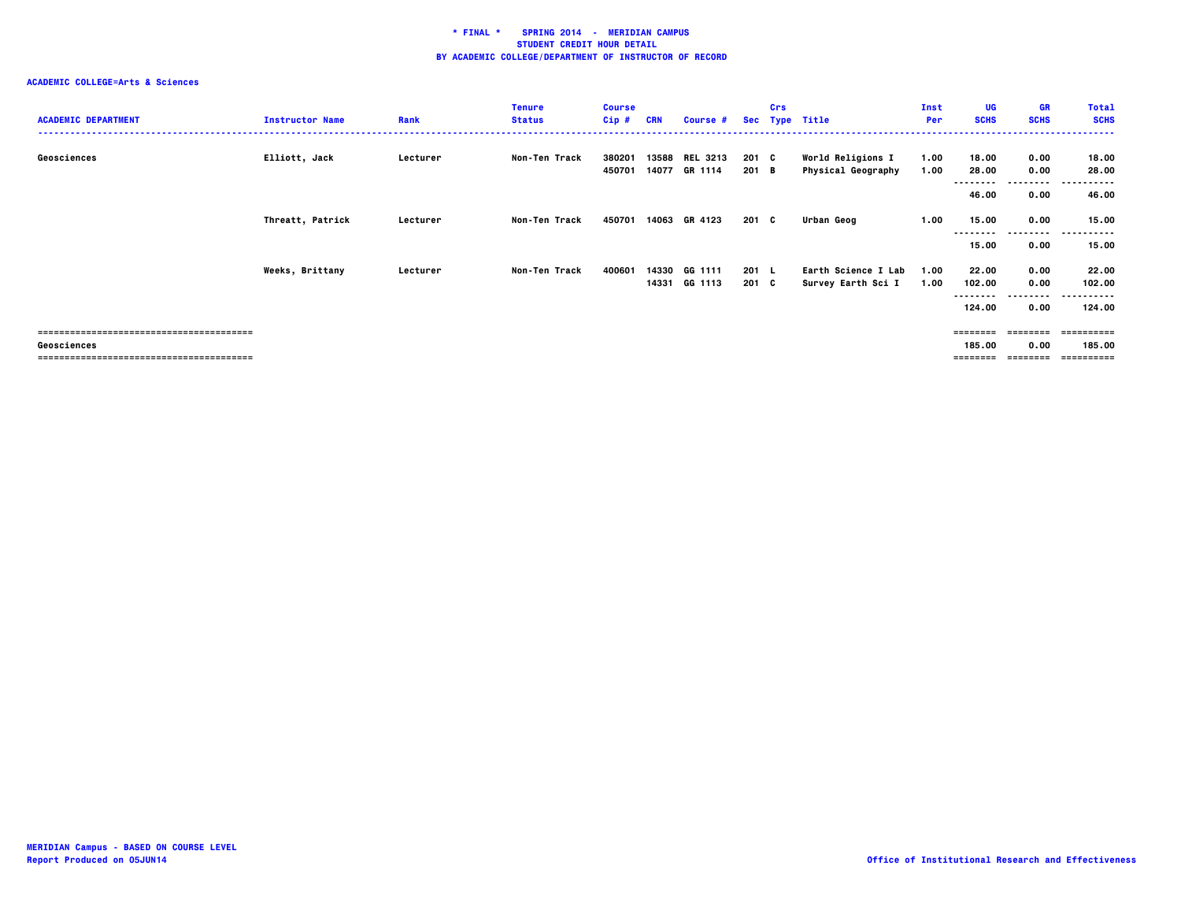### **ACADEMIC COLLEGE=Arts & Sciences**

| <b>Instructor Name</b> | Rank     | <b>Tenure</b><br><b>Status</b> | <b>Course</b><br>Cip# | <b>CRN</b> | <b>Course #</b>            |                                           | Crs |                                                   | Inst<br>Per    | <b>UG</b><br><b>SCHS</b> | GR<br><b>SCHS</b>    | <b>Total</b><br><b>SCHS</b>      |
|------------------------|----------|--------------------------------|-----------------------|------------|----------------------------|-------------------------------------------|-----|---------------------------------------------------|----------------|--------------------------|----------------------|----------------------------------|
| Elliott, Jack          | Lecturer | Non-Ten Track                  | 380201<br>450701      |            | <b>REL 3213</b><br>GR 1114 |                                           |     | World Religions I<br><b>Physical Geography</b>    | 1.00<br>1.00   | 18.00<br>28.00           | 0.00<br>0.00         | 18.00<br>28.00<br>------<br>---- |
|                        |          |                                |                       |            |                            |                                           |     |                                                   |                | 46.00                    | 0.00                 | 46.00                            |
| Threatt, Patrick       | Lecturer | Non-Ten Track                  | 450701                |            | GR 4123                    |                                           |     | Urban Geog                                        | 1.00           | 15.00                    | 0.00<br>---------    | 15.00<br>----------              |
|                        |          |                                |                       |            |                            |                                           |     |                                                   |                | 15.00                    | 0.00                 | 15.00                            |
| Weeks, Brittany        | Lecturer | Non-Ten Track                  | 400601                |            | GG 1111<br>GG 1113         |                                           |     | Earth Science I Lab<br>Survey Earth Sci I         | 1.00<br>1.00   | 22.00<br>102.00          | 0.00<br>0.00         | 22.00<br>102.00                  |
|                        |          |                                |                       |            |                            |                                           |     |                                                   |                | 124.00                   | --------<br>0.00     | .<br>. .<br>124.00               |
|                        |          |                                |                       |            |                            |                                           |     |                                                   |                | ========                 | ---------            | ==========                       |
|                        |          |                                |                       |            |                            |                                           |     |                                                   |                | 185.00                   | 0.00                 | 185.00<br>-----------            |
|                        |          |                                |                       |            |                            | 13588<br>14077<br>14063<br>14330<br>14331 |     | 201 C<br>201 B<br>201 C<br>$201 \quad L$<br>201 C | Sec Type Title |                          | --------<br>======== | ---------<br>---------           |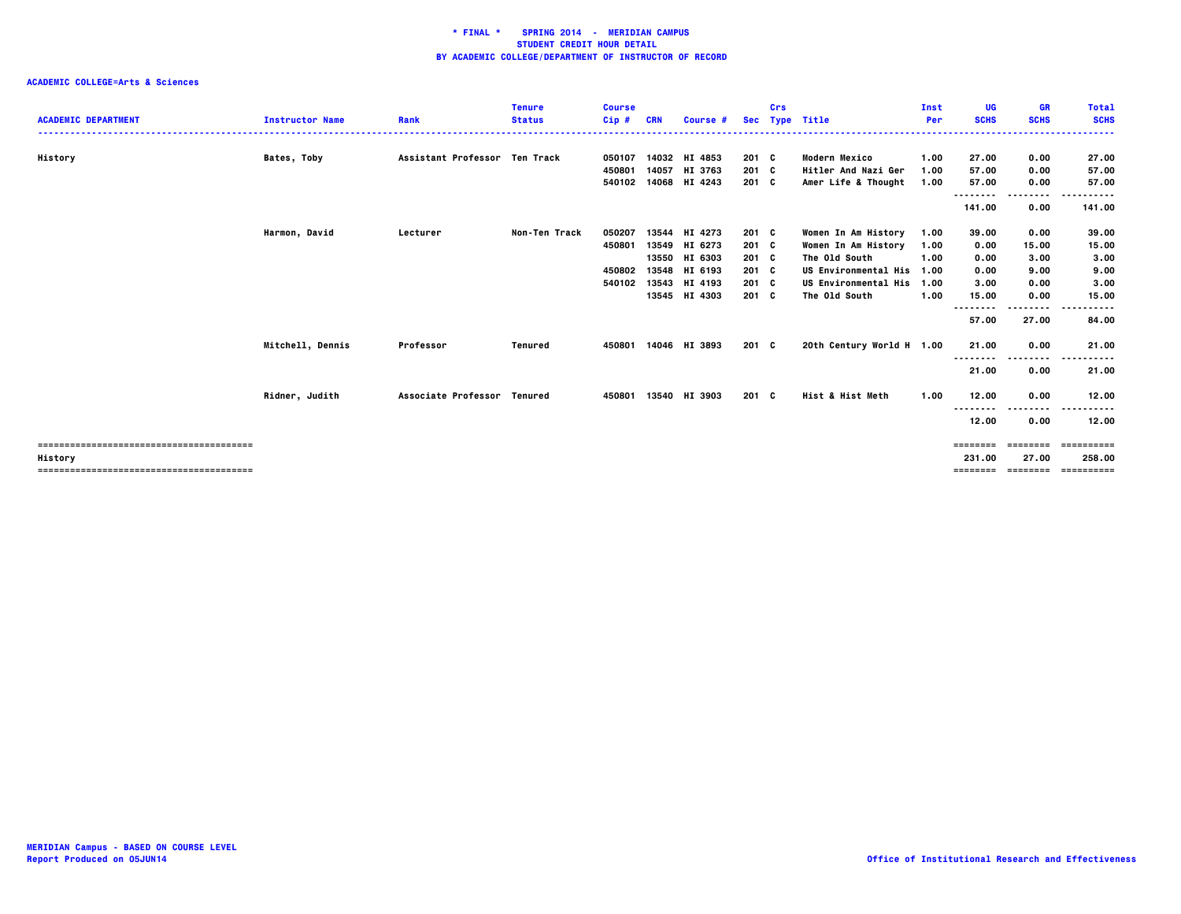| <b>ACADEMIC DEPARTMENT</b> | <b>Instructor Name</b> | Rank                          | <b>Tenure</b><br><b>Status</b> | <b>Course</b><br>$Cip$ # | <b>CRN</b> | Course #             |               | Crs | Sec Type Title            | Inst<br>Per | UG<br><b>SCHS</b> | <b>GR</b><br><b>SCHS</b>   | <b>Total</b><br><b>SCHS</b> |
|----------------------------|------------------------|-------------------------------|--------------------------------|--------------------------|------------|----------------------|---------------|-----|---------------------------|-------------|-------------------|----------------------------|-----------------------------|
| History                    | Bates, Toby            | Assistant Professor Ten Track |                                | 050107                   |            | 14032 HI 4853        | 201 C         |     | <b>Modern Mexico</b>      | 1.00        | 27.00             | 0.00                       | 27.00                       |
|                            |                        |                               |                                | 450801                   | 14057      | HI 3763              | 201 C         |     | Hitler And Nazi Ger       | 1.00        | 57.00             | 0.00                       | 57.00                       |
|                            |                        |                               |                                |                          |            | 540102 14068 HI 4243 | $201 \quad C$ |     | Amer Life & Thought       | 1.00        | 57.00             | 0.00                       | 57.00                       |
|                            |                        |                               |                                |                          |            |                      |               |     |                           |             | ---------         | --------                   | .                           |
|                            |                        |                               |                                |                          |            |                      |               |     |                           |             | 141.00            | 0.00                       | 141.00                      |
|                            | Harmon, David          | Lecturer                      | <b>Non-Ten Track</b>           | 050207                   | 13544      | HI 4273              | 201 C         |     | Women In Am History       | 1.00        | 39.00             | 0.00                       | 39.00                       |
|                            |                        |                               |                                | 450801                   | 13549      | HI 6273              | 201 C         |     | Women In Am History       | 1.00        | 0.00              | 15.00                      | 15.00                       |
|                            |                        |                               |                                |                          | 13550      | HI 6303              | $201 \quad C$ |     | The Old South             | 1.00        | 0.00              | 3.00                       | 3.00                        |
|                            |                        |                               |                                | 450802                   | 13548      | HI 6193              | 201 C         |     | US Environmental His 1.00 |             | 0.00              | 9.00                       | 9.00                        |
|                            |                        |                               |                                | 540102                   | 13543      | HI 4193              | $201 \quad C$ |     | US Environmental His 1.00 |             | 3.00              | 0.00                       | 3.00                        |
|                            |                        |                               |                                |                          |            | 13545 HI 4303        | 201 C         |     | The Old South             | 1.00        | 15.00             | 0.00                       | 15.00                       |
|                            |                        |                               |                                |                          |            |                      |               |     |                           |             | --------<br>57.00 | -----<br>27.00             | -----<br>84.00              |
|                            | Mitchell, Dennis       | Professor                     | <b>Tenured</b>                 | 450801                   |            | 14046 HI 3893        | 201 C         |     | 20th Century World H 1.00 |             | 21.00<br>-------- | 0.00<br>--------           | 21.00<br>-----<br>---       |
|                            |                        |                               |                                |                          |            |                      |               |     |                           |             | 21.00             | 0.00                       | 21.00                       |
|                            | Ridner, Judith         | Associate Professor Tenured   |                                | 450801                   |            | 13540 HI 3903        | 201 C         |     | Hist & Hist Meth          | 1.00        | 12.00<br>-------- | 0.00<br>.                  | 12.00<br>                   |
|                            |                        |                               |                                |                          |            |                      |               |     |                           |             | 12.00             | 0.00                       | 12.00                       |
|                            |                        |                               |                                |                          |            |                      |               |     |                           |             | ========          | ========                   | ==========                  |
| History                    |                        |                               |                                |                          |            |                      |               |     |                           |             | 231.00            | 27.00<br>======== ======== | 258.00<br>==========        |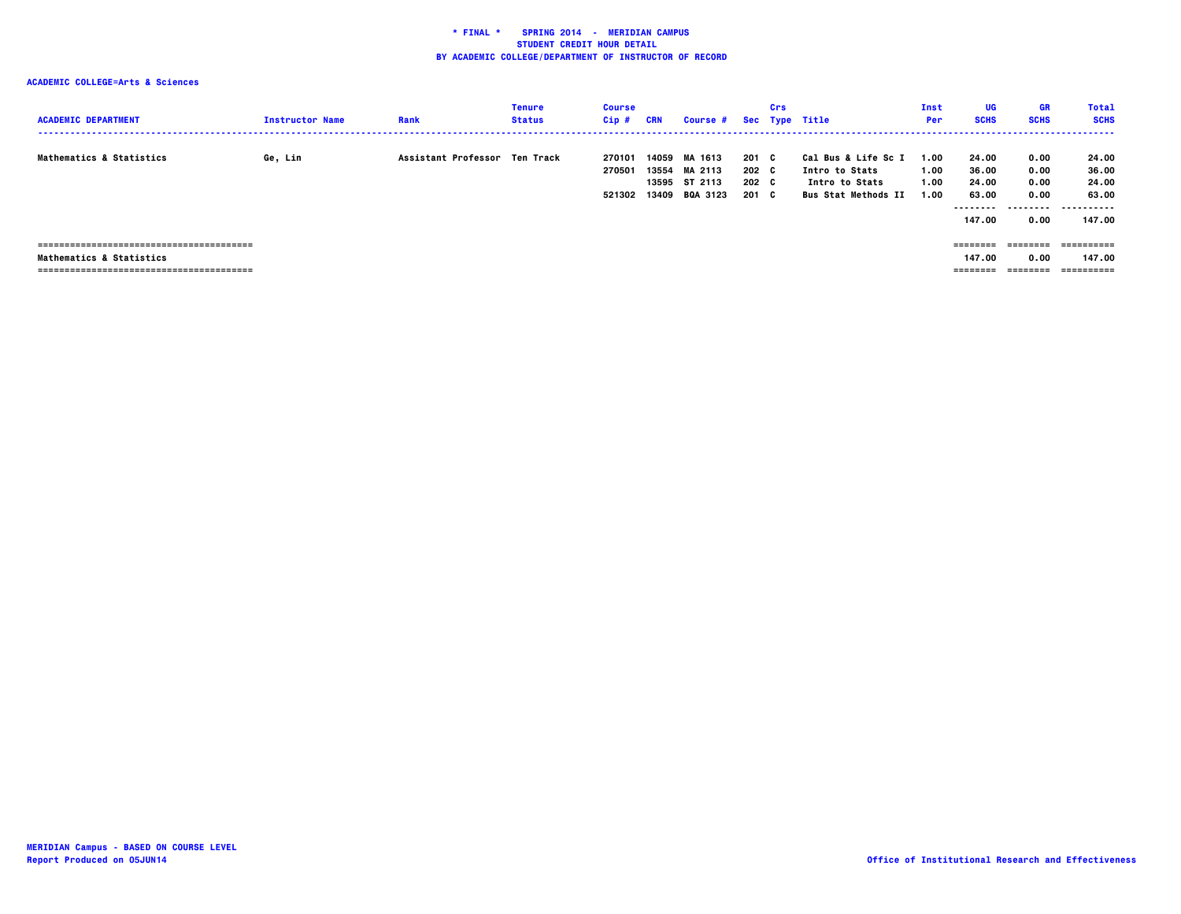| <b>ACADEMIC DEPARTMENT</b>          | <b>Instructor Name</b> | Rank                          | <b>Tenure</b><br><b>Status</b> | <b>Course</b><br>Cip# | CRN   | Course # Sec Type Title          |                | Crs |                                              | Inst<br>Per  | UG<br><b>SCHS</b>          | <b>GR</b><br><b>SCHS</b> | <b>Total</b><br><b>SCHS</b> |
|-------------------------------------|------------------------|-------------------------------|--------------------------------|-----------------------|-------|----------------------------------|----------------|-----|----------------------------------------------|--------------|----------------------------|--------------------------|-----------------------------|
| <b>Mathematics &amp; Statistics</b> | Ge, Lin                | Assistant Professor Ten Track |                                | 270101<br>270501      | 14059 | MA 1613<br>13554 MA 2113         | 201 C<br>202 C |     | Cal Bus & Life Sc I<br>Intro to Stats        | 1.00<br>1.00 | 24.00<br>36.00             | 0.00<br>0.00             | 24.00<br>36.00              |
|                                     |                        |                               |                                | 521302                | 13409 | 13595 ST 2113<br><b>BQA 3123</b> | 202 C<br>201 C |     | Intro to Stats<br><b>Bus Stat Methods II</b> | 1.00<br>1.00 | 24.00<br>63.00<br>-------- | 0.00<br>0.00<br>-------- | 24.00<br>63.00<br>          |
|                                     |                        |                               |                                |                       |       |                                  |                |     |                                              |              | 147.00                     | 0.00                     | 147.00                      |
|                                     |                        |                               |                                |                       |       |                                  |                |     |                                              |              | ========                   | ---------                | ==========                  |
| <b>Mathematics &amp; Statistics</b> |                        |                               |                                |                       |       |                                  |                |     |                                              |              | 147.00                     | 0.00                     | 147.00                      |
|                                     |                        |                               |                                |                       |       |                                  |                |     |                                              |              | ========                   | ========                 | ==========                  |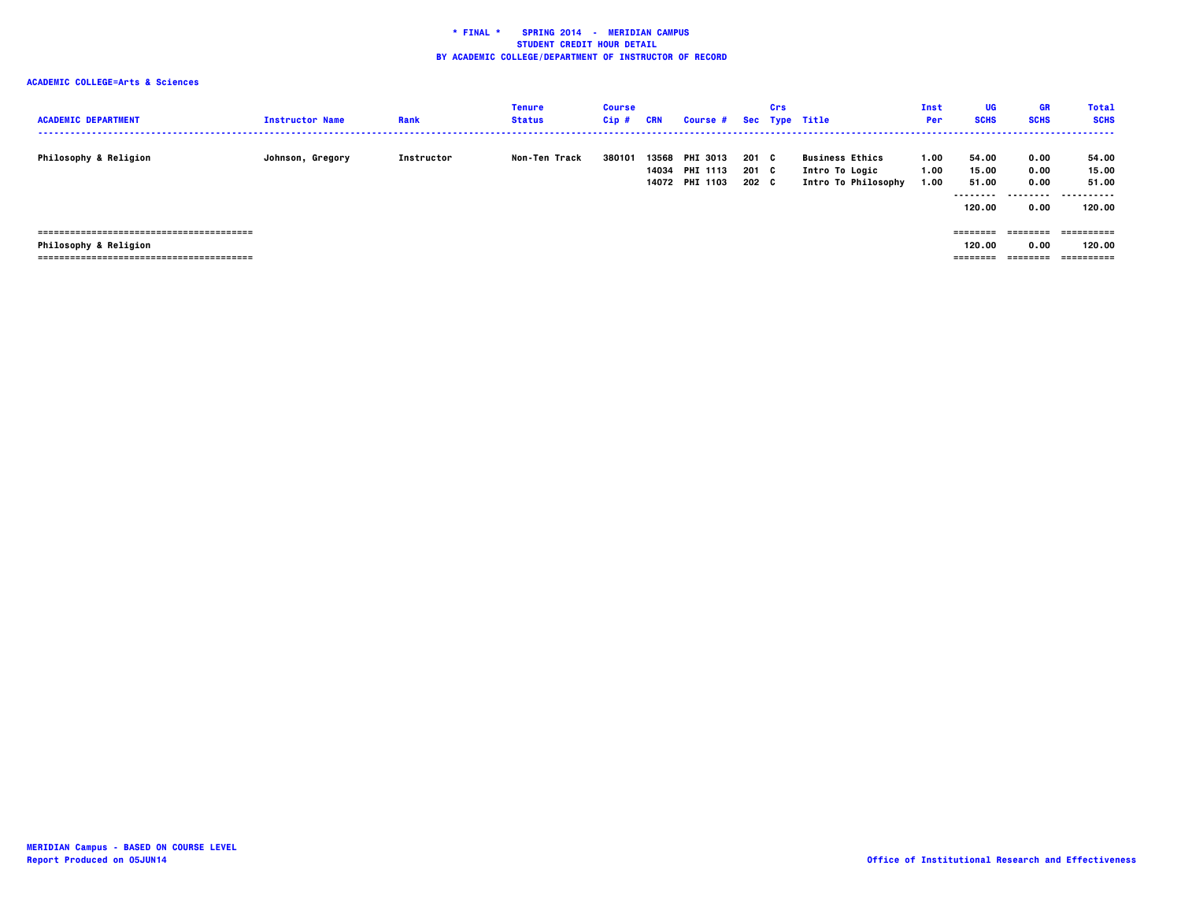| <b>ACADEMIC DEPARTMENT</b>       | <b>Instructor Name</b> | Rank       | Tenure<br><b>Status</b> | <b>Course</b><br>Cip# | CRN   | Course # Sec Type Title                             |                         | Crs |                                                                 | Inst<br><b>Per</b>   | UG<br><b>SCHS</b>                             | GR<br><b>SCHS</b>                 | <b>Total</b><br><b>SCHS</b>                      |
|----------------------------------|------------------------|------------|-------------------------|-----------------------|-------|-----------------------------------------------------|-------------------------|-----|-----------------------------------------------------------------|----------------------|-----------------------------------------------|-----------------------------------|--------------------------------------------------|
| <b>Philosophy &amp; Religion</b> | Johnson, Gregory       | Instructor | Non-Ten Track           | 380101                | 13568 | <b>PHI 3013</b><br>14034 PHI 1113<br>14072 PHI 1103 | 201 C<br>201 C<br>202 C |     | <b>Business Ethics</b><br>Intro To Logic<br>Intro To Philosophy | 1.00<br>1.00<br>1.00 | 54.00<br>15.00<br>51.00<br>--------<br>120.00 | 0.00<br>0.00<br>0.00<br>.<br>0.00 | 54.00<br>15.00<br>51.00<br>-----------<br>120.00 |
| <b>Philosophy &amp; Religion</b> |                        |            |                         |                       |       |                                                     |                         |     |                                                                 |                      | ========<br>120.00<br>========                | ========<br>0.00<br>========      | 120.00<br>-----------                            |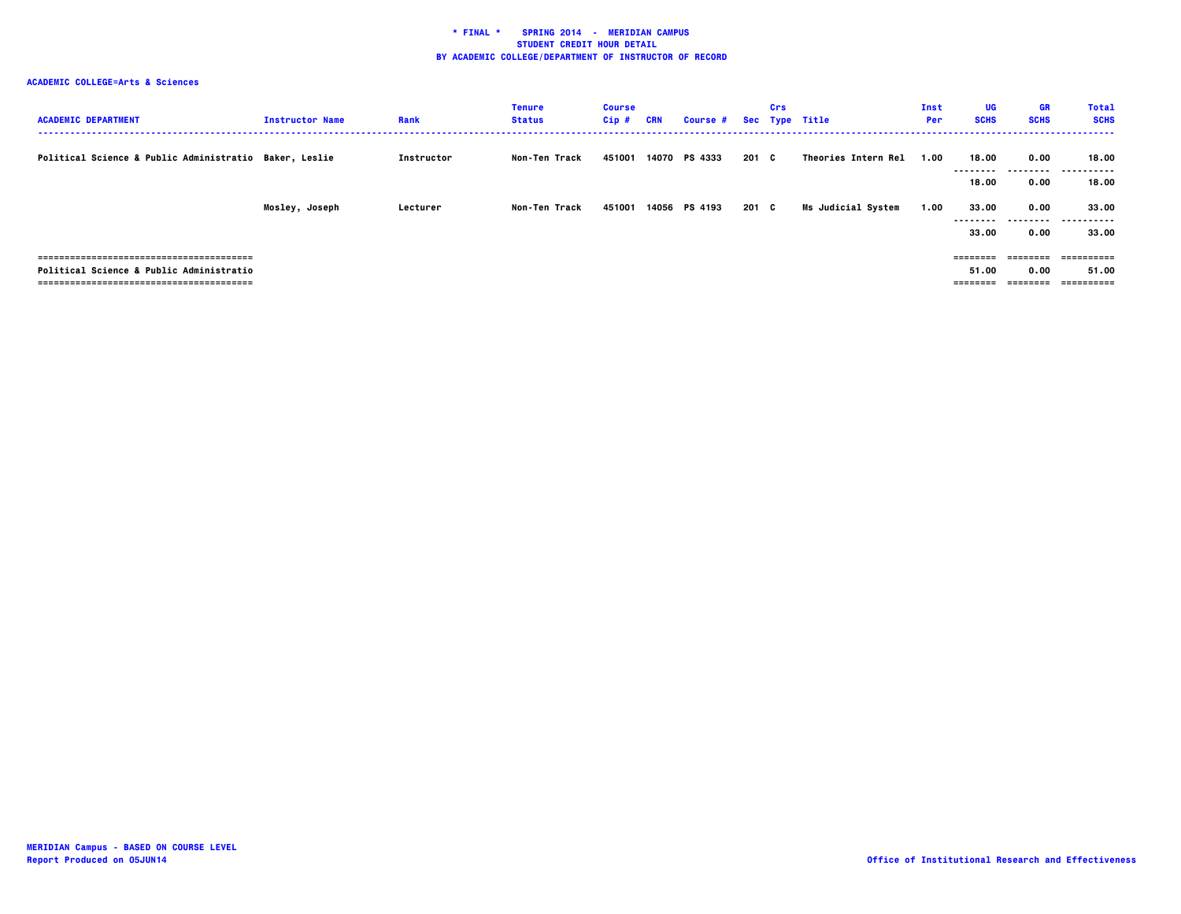| <b>ACADEMIC DEPARTMENT</b>                             | <b>Instructor Name</b> | Rank       | <b>Tenure</b><br><b>Status</b> | <b>Course</b><br>$Cip$ # | <b>CRN</b> | <b>Course #</b> |       | Crs | Sec Type Title            | Inst<br>Per | UG<br><b>SCHS</b>             | <b>GR</b><br><b>SCHS</b>      | <b>Total</b><br><b>SCHS</b>        |
|--------------------------------------------------------|------------------------|------------|--------------------------------|--------------------------|------------|-----------------|-------|-----|---------------------------|-------------|-------------------------------|-------------------------------|------------------------------------|
| Political Science & Public Administratio Baker, Leslie |                        | Instructor | <b>Non-Ten Track</b>           | 451001                   |            | 14070 PS 4333   | 201 C |     | Theories Intern Rel       | 1.00        | 18.00<br>--------<br>18.00    | 0.00<br>.<br>0.00             | 18.00<br>.<br>18.00                |
|                                                        | Mosley, Joseph         | Lecturer   | Non-Ten Track                  | 451001                   |            | 14056 PS 4193   | 201 C |     | <b>Ms Judicial System</b> | 1.00        | 33.00<br>--------<br>33.00    | 0.00<br>0.00                  | 33.00<br><br>33.00                 |
| Political Science & Public Administratio               |                        |            |                                |                          |            |                 |       |     |                           |             | ========<br>51.00<br>======== | ========<br>0.00<br>--------- | -----------<br>51.00<br>========== |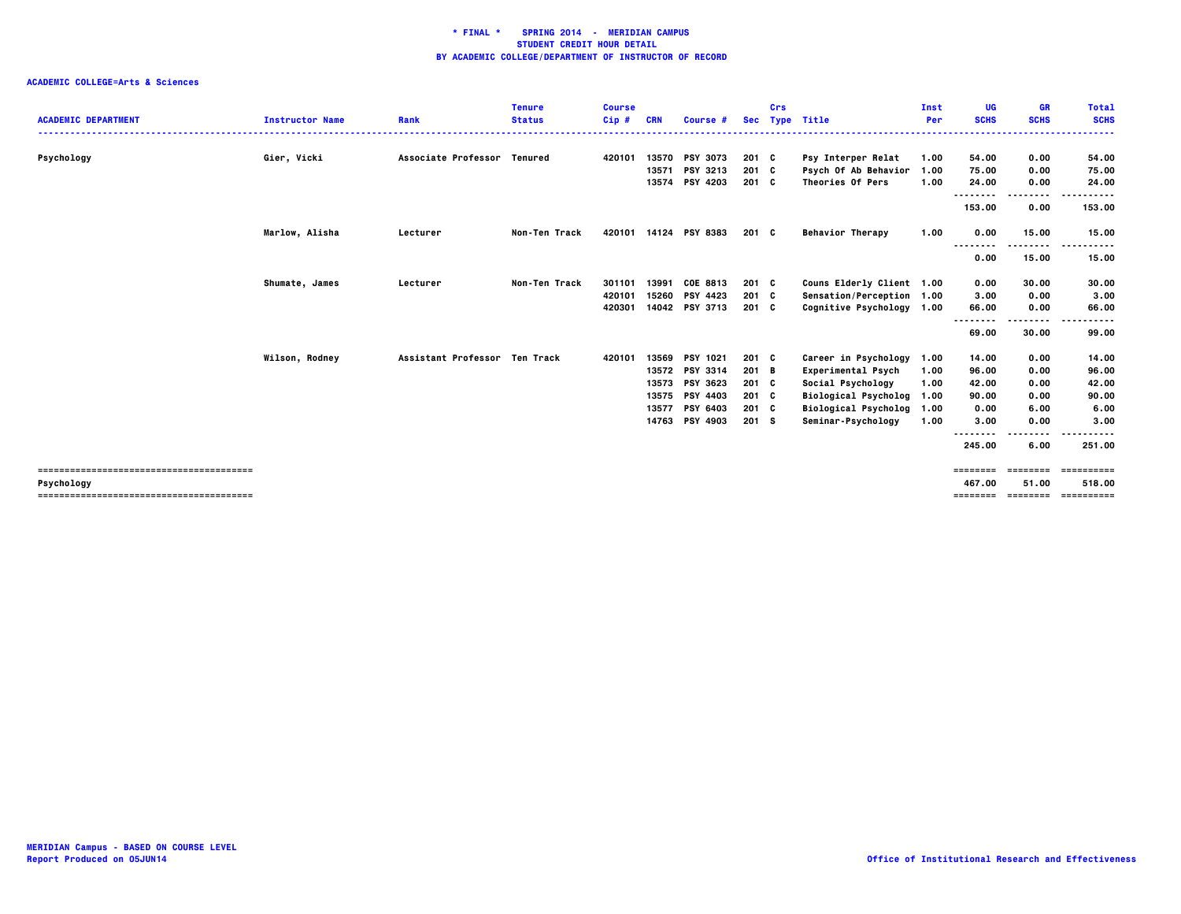| .<br>Gier, Vicki<br>Associate Professor Tenured<br>13570<br><b>PSY 3073</b><br>Psychology<br>420101<br>$201 \quad C$<br>Psy Interper Relat<br>54.00<br>0.00<br>54.00<br>1.00<br>PSY 3213<br>$201 \quad C$<br>75.00<br>13571<br>Psych Of Ab Behavior<br>75.00<br>0.00<br>1.00<br><b>PSY 4203</b><br>201 C<br>Theories Of Pers<br>1.00<br>24.00<br>13574<br>24.00<br>0.00<br>--------<br>----<br>153.00<br>153.00<br>0.00<br>Marlow, Alisha<br>Non-Ten Track<br>14124 PSY 8383<br><b>Behavior Therapy</b><br>1.00<br>0.00<br>15.00<br>420101<br>201 C<br>15.00<br>Lecturer<br><br>.<br>0.00<br>15.00<br>15.00<br>13991<br>COE 8813<br>Shumate, James<br>Non-Ten Track<br>301101<br>$201 \quad C$<br>Couns Elderly Client 1.00<br>30.00<br>30.00<br>Lecturer<br>0.00<br>3.00<br>15260<br><b>PSY 4423</b><br>201 C<br>0.00<br>420101<br>Sensation/Perception 1.00<br>3.00<br>420301<br>14042 PSY 3713<br>$201 \quad C$<br>Cognitive Psychology 1.00<br>66.00<br>66.00<br>0.00<br>.<br>--------<br>-----<br>69.00<br>30.00<br>99.00<br>Assistant Professor Ten Track<br>13569<br>PSY 1021<br>$201 \quad C$<br>Wilson, Rodney<br>420101<br>Career in Psychology<br>14.00<br>0.00<br>14.00<br>1.00<br><b>PSY 3314</b><br>13572<br>201 B<br>0.00<br>96.00<br><b>Experimental Psych</b><br>1.00<br>96.00<br><b>PSY 3623</b><br>Social Psychology<br>42.00<br>13573<br>201 C<br>0.00<br>1.00<br>42.00<br>13575<br><b>PSY 4403</b><br>$201 \quad C$<br>90.00<br>Biological Psycholog 1.00<br>0.00<br>90.00<br>6.00<br>13577<br>PSY 6403<br>201 C<br>Biological Psycholog 1.00<br>0.00<br>6.00<br><b>PSY 4903</b><br>201 S<br>Seminar-Psychology<br>1.00<br>0.00<br>3.00<br>14763<br>3.00<br>----<br>--------<br>245.00<br>6.00<br>251.00<br>==========<br>========<br>========<br>Psychology<br>467.00<br>51.00<br>518.00<br>----------- | <b>ACADEMIC DEPARTMENT</b> | <b>Instructor Name</b> | Rank | <b>Tenure</b><br><b>Status</b> | <b>Course</b><br>$Cip$ # | <b>CRN</b> | Course # | Crs | Sec Type Title | Inst<br>Per | UG<br><b>SCHS</b> | <b>GR</b><br><b>SCHS</b> | <b>Total</b><br><b>SCHS</b> |
|-------------------------------------------------------------------------------------------------------------------------------------------------------------------------------------------------------------------------------------------------------------------------------------------------------------------------------------------------------------------------------------------------------------------------------------------------------------------------------------------------------------------------------------------------------------------------------------------------------------------------------------------------------------------------------------------------------------------------------------------------------------------------------------------------------------------------------------------------------------------------------------------------------------------------------------------------------------------------------------------------------------------------------------------------------------------------------------------------------------------------------------------------------------------------------------------------------------------------------------------------------------------------------------------------------------------------------------------------------------------------------------------------------------------------------------------------------------------------------------------------------------------------------------------------------------------------------------------------------------------------------------------------------------------------------------------------------------------------------------------------------------------------------------------------------------------------------|----------------------------|------------------------|------|--------------------------------|--------------------------|------------|----------|-----|----------------|-------------|-------------------|--------------------------|-----------------------------|
|                                                                                                                                                                                                                                                                                                                                                                                                                                                                                                                                                                                                                                                                                                                                                                                                                                                                                                                                                                                                                                                                                                                                                                                                                                                                                                                                                                                                                                                                                                                                                                                                                                                                                                                                                                                                                               |                            |                        |      |                                |                          |            |          |     |                |             |                   |                          |                             |
|                                                                                                                                                                                                                                                                                                                                                                                                                                                                                                                                                                                                                                                                                                                                                                                                                                                                                                                                                                                                                                                                                                                                                                                                                                                                                                                                                                                                                                                                                                                                                                                                                                                                                                                                                                                                                               |                            |                        |      |                                |                          |            |          |     |                |             |                   |                          |                             |
|                                                                                                                                                                                                                                                                                                                                                                                                                                                                                                                                                                                                                                                                                                                                                                                                                                                                                                                                                                                                                                                                                                                                                                                                                                                                                                                                                                                                                                                                                                                                                                                                                                                                                                                                                                                                                               |                            |                        |      |                                |                          |            |          |     |                |             |                   |                          |                             |
|                                                                                                                                                                                                                                                                                                                                                                                                                                                                                                                                                                                                                                                                                                                                                                                                                                                                                                                                                                                                                                                                                                                                                                                                                                                                                                                                                                                                                                                                                                                                                                                                                                                                                                                                                                                                                               |                            |                        |      |                                |                          |            |          |     |                |             |                   |                          |                             |
|                                                                                                                                                                                                                                                                                                                                                                                                                                                                                                                                                                                                                                                                                                                                                                                                                                                                                                                                                                                                                                                                                                                                                                                                                                                                                                                                                                                                                                                                                                                                                                                                                                                                                                                                                                                                                               |                            |                        |      |                                |                          |            |          |     |                |             |                   |                          |                             |
|                                                                                                                                                                                                                                                                                                                                                                                                                                                                                                                                                                                                                                                                                                                                                                                                                                                                                                                                                                                                                                                                                                                                                                                                                                                                                                                                                                                                                                                                                                                                                                                                                                                                                                                                                                                                                               |                            |                        |      |                                |                          |            |          |     |                |             |                   |                          |                             |
|                                                                                                                                                                                                                                                                                                                                                                                                                                                                                                                                                                                                                                                                                                                                                                                                                                                                                                                                                                                                                                                                                                                                                                                                                                                                                                                                                                                                                                                                                                                                                                                                                                                                                                                                                                                                                               |                            |                        |      |                                |                          |            |          |     |                |             |                   |                          |                             |
|                                                                                                                                                                                                                                                                                                                                                                                                                                                                                                                                                                                                                                                                                                                                                                                                                                                                                                                                                                                                                                                                                                                                                                                                                                                                                                                                                                                                                                                                                                                                                                                                                                                                                                                                                                                                                               |                            |                        |      |                                |                          |            |          |     |                |             |                   |                          |                             |
|                                                                                                                                                                                                                                                                                                                                                                                                                                                                                                                                                                                                                                                                                                                                                                                                                                                                                                                                                                                                                                                                                                                                                                                                                                                                                                                                                                                                                                                                                                                                                                                                                                                                                                                                                                                                                               |                            |                        |      |                                |                          |            |          |     |                |             |                   |                          |                             |
|                                                                                                                                                                                                                                                                                                                                                                                                                                                                                                                                                                                                                                                                                                                                                                                                                                                                                                                                                                                                                                                                                                                                                                                                                                                                                                                                                                                                                                                                                                                                                                                                                                                                                                                                                                                                                               |                            |                        |      |                                |                          |            |          |     |                |             |                   |                          |                             |
|                                                                                                                                                                                                                                                                                                                                                                                                                                                                                                                                                                                                                                                                                                                                                                                                                                                                                                                                                                                                                                                                                                                                                                                                                                                                                                                                                                                                                                                                                                                                                                                                                                                                                                                                                                                                                               |                            |                        |      |                                |                          |            |          |     |                |             |                   |                          |                             |
|                                                                                                                                                                                                                                                                                                                                                                                                                                                                                                                                                                                                                                                                                                                                                                                                                                                                                                                                                                                                                                                                                                                                                                                                                                                                                                                                                                                                                                                                                                                                                                                                                                                                                                                                                                                                                               |                            |                        |      |                                |                          |            |          |     |                |             |                   |                          |                             |
|                                                                                                                                                                                                                                                                                                                                                                                                                                                                                                                                                                                                                                                                                                                                                                                                                                                                                                                                                                                                                                                                                                                                                                                                                                                                                                                                                                                                                                                                                                                                                                                                                                                                                                                                                                                                                               |                            |                        |      |                                |                          |            |          |     |                |             |                   |                          |                             |
|                                                                                                                                                                                                                                                                                                                                                                                                                                                                                                                                                                                                                                                                                                                                                                                                                                                                                                                                                                                                                                                                                                                                                                                                                                                                                                                                                                                                                                                                                                                                                                                                                                                                                                                                                                                                                               |                            |                        |      |                                |                          |            |          |     |                |             |                   |                          |                             |
|                                                                                                                                                                                                                                                                                                                                                                                                                                                                                                                                                                                                                                                                                                                                                                                                                                                                                                                                                                                                                                                                                                                                                                                                                                                                                                                                                                                                                                                                                                                                                                                                                                                                                                                                                                                                                               |                            |                        |      |                                |                          |            |          |     |                |             |                   |                          |                             |
|                                                                                                                                                                                                                                                                                                                                                                                                                                                                                                                                                                                                                                                                                                                                                                                                                                                                                                                                                                                                                                                                                                                                                                                                                                                                                                                                                                                                                                                                                                                                                                                                                                                                                                                                                                                                                               |                            |                        |      |                                |                          |            |          |     |                |             |                   |                          |                             |
|                                                                                                                                                                                                                                                                                                                                                                                                                                                                                                                                                                                                                                                                                                                                                                                                                                                                                                                                                                                                                                                                                                                                                                                                                                                                                                                                                                                                                                                                                                                                                                                                                                                                                                                                                                                                                               |                            |                        |      |                                |                          |            |          |     |                |             |                   |                          |                             |
|                                                                                                                                                                                                                                                                                                                                                                                                                                                                                                                                                                                                                                                                                                                                                                                                                                                                                                                                                                                                                                                                                                                                                                                                                                                                                                                                                                                                                                                                                                                                                                                                                                                                                                                                                                                                                               |                            |                        |      |                                |                          |            |          |     |                |             |                   |                          |                             |
|                                                                                                                                                                                                                                                                                                                                                                                                                                                                                                                                                                                                                                                                                                                                                                                                                                                                                                                                                                                                                                                                                                                                                                                                                                                                                                                                                                                                                                                                                                                                                                                                                                                                                                                                                                                                                               |                            |                        |      |                                |                          |            |          |     |                |             |                   |                          |                             |
|                                                                                                                                                                                                                                                                                                                                                                                                                                                                                                                                                                                                                                                                                                                                                                                                                                                                                                                                                                                                                                                                                                                                                                                                                                                                                                                                                                                                                                                                                                                                                                                                                                                                                                                                                                                                                               |                            |                        |      |                                |                          |            |          |     |                |             |                   |                          |                             |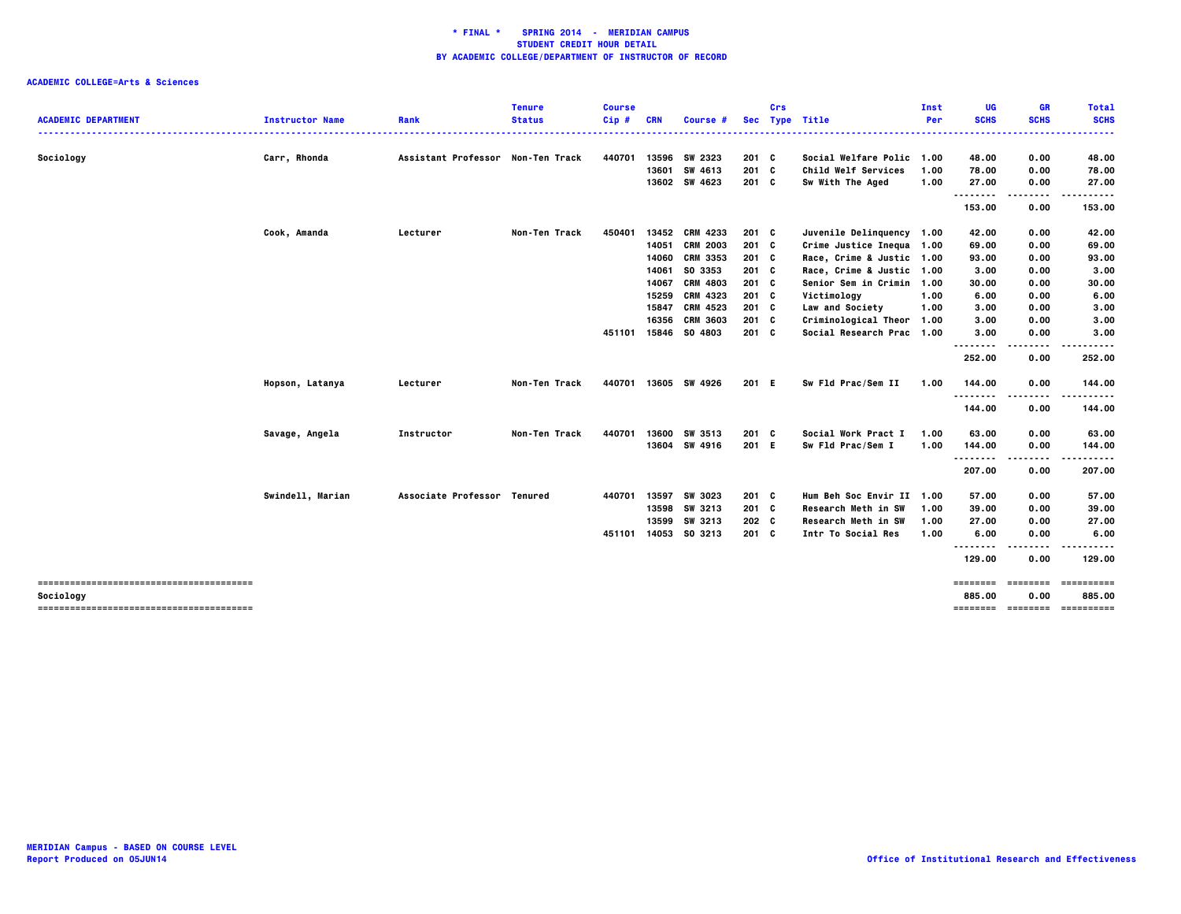|                            |                        |                                   | <b>Tenure</b> | <b>Course</b> |            |                 |               | Crs |                            | Inst | UG                 | <b>GR</b>                    | <b>Total</b>                      |
|----------------------------|------------------------|-----------------------------------|---------------|---------------|------------|-----------------|---------------|-----|----------------------------|------|--------------------|------------------------------|-----------------------------------|
| <b>ACADEMIC DEPARTMENT</b> | <b>Instructor Name</b> | Rank                              | <b>Status</b> | $Cip$ #       | <b>CRN</b> | Course #        |               |     | Sec Type Title             | Per  | <b>SCHS</b>        | <b>SCHS</b>                  | <b>SCHS</b><br>                   |
| Sociology                  | Carr, Rhonda           | Assistant Professor Non-Ten Track |               | 440701        | 13596      | SW 2323         | 201 C         |     | Social Welfare Polic 1.00  |      | 48.00              | 0.00                         | 48.00                             |
|                            |                        |                                   |               |               | 13601      | SW 4613         | 201 C         |     | <b>Child Welf Services</b> | 1.00 | 78.00              | 0.00                         | 78.00                             |
|                            |                        |                                   |               |               |            | 13602 SW 4623   | $201$ C       |     | Sw With The Aged           | 1.00 | 27.00              | 0.00                         | 27.00                             |
|                            |                        |                                   |               |               |            |                 |               |     |                            |      | .<br>153.00        | .<br>0.00                    | .<br>153.00                       |
|                            | Cook, Amanda           | Lecturer                          | Non-Ten Track | 450401        | 13452      | <b>CRM 4233</b> | $201$ C       |     | Juvenile Delinquency 1.00  |      | 42.00              | 0.00                         | 42.00                             |
|                            |                        |                                   |               |               | 14051      | <b>CRM 2003</b> | $201$ C       |     | Crime Justice Inequa 1.00  |      | 69.00              | 0.00                         | 69.00                             |
|                            |                        |                                   |               |               | 14060      | <b>CRM 3353</b> | $201 \quad C$ |     | Race, Crime & Justic 1.00  |      | 93.00              | 0.00                         | 93.00                             |
|                            |                        |                                   |               |               | 14061      | SO 3353         | 201 C         |     | Race, Crime & Justic 1.00  |      | 3.00               | 0.00                         | 3.00                              |
|                            |                        |                                   |               |               | 14067      | <b>CRM 4803</b> | $201$ C       |     | Senior Sem in Crimin 1.00  |      | 30.00              | 0.00                         | 30.00                             |
|                            |                        |                                   |               |               | 15259      | <b>CRM 4323</b> | 201 C         |     | Victimology                | 1.00 | 6.00               | 0.00                         | 6.00                              |
|                            |                        |                                   |               |               | 15847      | CRM 4523        | $201$ C       |     | Law and Society            | 1.00 | 3.00               | 0.00                         | 3.00                              |
|                            |                        |                                   |               |               | 16356      | <b>CRM 3603</b> | 201 C         |     | Criminological Theor 1.00  |      | 3.00               | 0.00                         | 3.00                              |
|                            |                        |                                   |               | 451101        | 15846      | SO 4803         | $201$ C       |     | Social Research Prac 1.00  |      | 3.00               | 0.00                         | 3.00                              |
|                            |                        |                                   |               |               |            |                 |               |     |                            |      | .<br>252.00        | $\sim$ $\sim$ $\sim$<br>0.00 | 252.00                            |
|                            | Hopson, Latanya        | Lecturer                          | Non-Ten Track | 440701        |            | 13605 SW 4926   | 201 E         |     | Sw Fld Prac/Sem II         | 1.00 | 144.00             | 0.00                         | 144.00                            |
|                            |                        |                                   |               |               |            |                 |               |     |                            |      | .<br>144.00        | 0.00                         | 144.00                            |
|                            | Savage, Angela         | Instructor                        | Non-Ten Track | 440701        | 13600      | SW 3513         | 201 C         |     | Social Work Pract I        | 1.00 | 63.00              | 0.00                         | 63.00                             |
|                            |                        |                                   |               |               |            | 13604 SW 4916   | 201 E         |     | Sw Fld Prac/Sem I          | 1.00 | 144.00<br>.        | 0.00<br>.                    | 144.00<br>.                       |
|                            |                        |                                   |               |               |            |                 |               |     |                            |      | 207.00             | 0.00                         | 207.00                            |
|                            | Swindell, Marian       | Associate Professor Tenured       |               | 440701        | 13597      | SW 3023         | $201$ C       |     | Hum Beh Soc Envir II 1.00  |      | 57.00              | 0.00                         | 57.00                             |
|                            |                        |                                   |               |               | 13598      | SW 3213         | $201$ C       |     | Research Meth in SW        | 1.00 | 39.00              | 0.00                         | 39.00                             |
|                            |                        |                                   |               |               | 13599      | SW 3213         | 202 C         |     | Research Meth in SW        | 1.00 | 27.00              | 0.00                         | 27.00                             |
|                            |                        |                                   |               | 451101        |            | 14053 SO 3213   | 201 C         |     | Intr To Social Res         | 1.00 | 6.00<br><u>.</u>   | 0.00                         | 6.00                              |
|                            |                        |                                   |               |               |            |                 |               |     |                            |      | 129.00             | 0.00                         | 129.00                            |
| Sociology                  |                        |                                   |               |               |            |                 |               |     |                            |      | ========<br>885.00 | ========<br>0.00             | $=$ = = = = = = = = = =<br>885.00 |
|                            |                        |                                   |               |               |            |                 |               |     |                            |      |                    |                              | =============================     |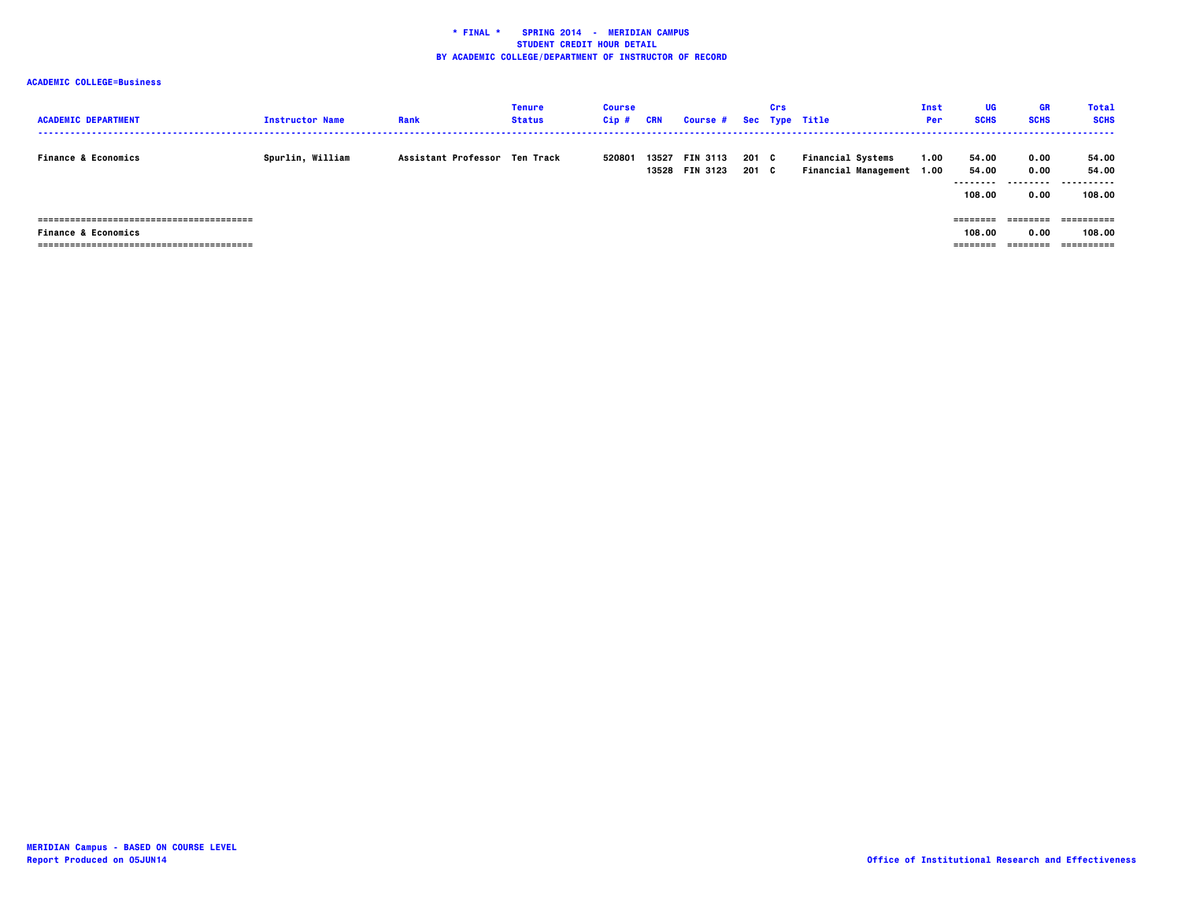| <b>ACADEMIC DEPARTMENT</b>     | <b>Instructor Name</b> | Rank                          | <b>Tenure</b><br><b>Status</b> | <b>Course</b><br>$Cip$ # | CRN   | <b>Course #</b>                   |                | Crs | Sec Type Title                                        | Inst<br>Per | UG<br><b>SCHS</b>                     | <b>GR</b><br><b>SCHS</b>         | <b>Total</b><br><b>SCHS</b>   |
|--------------------------------|------------------------|-------------------------------|--------------------------------|--------------------------|-------|-----------------------------------|----------------|-----|-------------------------------------------------------|-------------|---------------------------------------|----------------------------------|-------------------------------|
| <b>Finance &amp; Economics</b> | Spurlin, William       | Assistant Professor Ten Track |                                | 520801                   | 13527 | <b>FIN 3113</b><br>13528 FIN 3123 | 201 C<br>201 C |     | <b>Financial Systems</b><br>Financial Management 1.00 | 1.00        | 54.00<br>54.00<br>---------<br>108.00 | 0.00<br>0.00<br>--------<br>0.00 | 54.00<br>54.00<br>.<br>108.00 |
|                                |                        |                               |                                |                          |       |                                   |                |     |                                                       |             | ========                              |                                  |                               |
| <b>Finance &amp; Economics</b> |                        |                               |                                |                          |       |                                   |                |     |                                                       |             | 108.00                                | 0.00                             | 108.00                        |
|                                |                        |                               |                                |                          |       |                                   |                |     |                                                       |             | ========                              | ========                         |                               |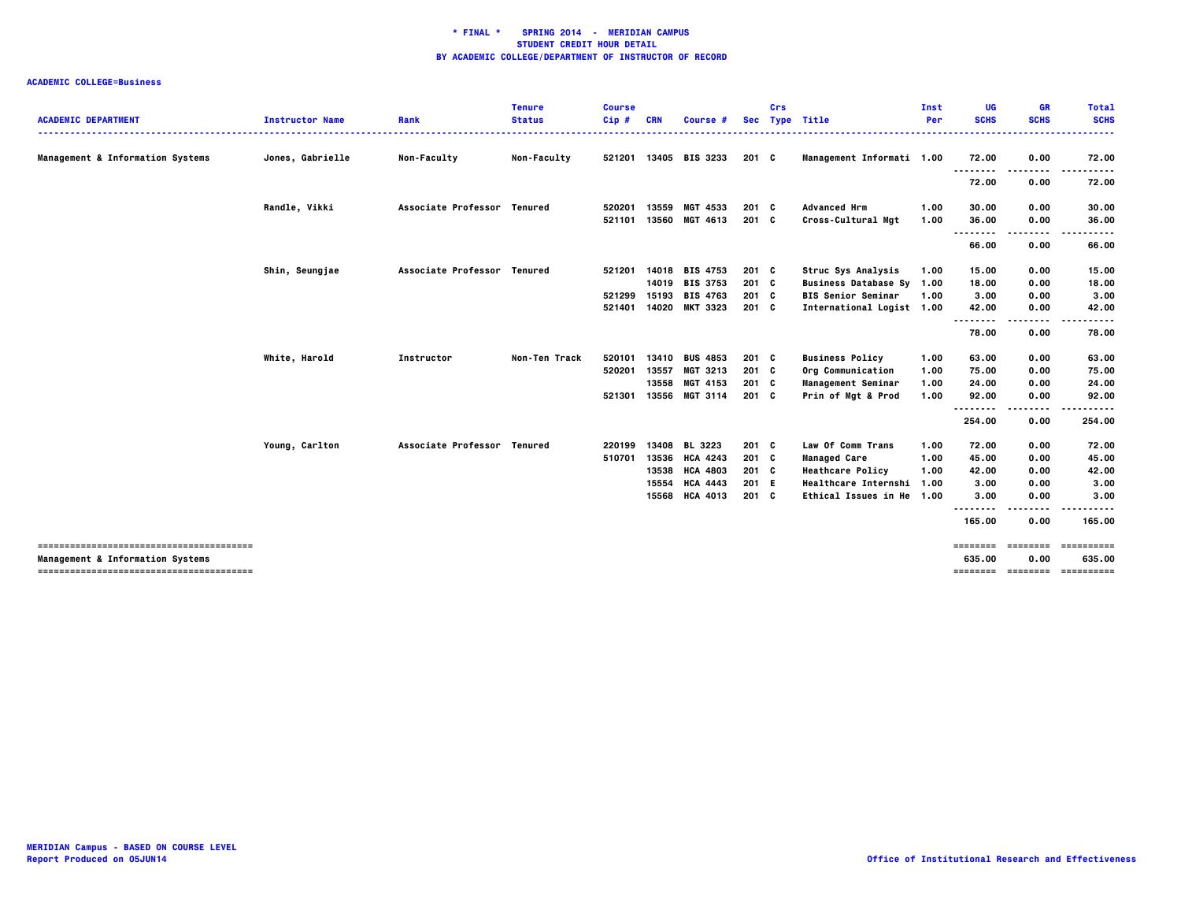|                                  |                        |                             | <b>Tenure</b>      | <b>Course</b> |            |                 |               | <b>Crs</b> |                             | Inst       | UG                 | <b>GR</b>        | <b>Total</b>                   |
|----------------------------------|------------------------|-----------------------------|--------------------|---------------|------------|-----------------|---------------|------------|-----------------------------|------------|--------------------|------------------|--------------------------------|
| <b>ACADEMIC DEPARTMENT</b>       | <b>Instructor Name</b> | Rank                        | <b>Status</b>      | $Cip$ #       | <b>CRN</b> | Course #        | <b>Sec</b>    |            | Type Title                  | <b>Per</b> | <b>SCHS</b>        | <b>SCHS</b><br>. | <b>SCHS</b><br>.               |
| Management & Information Systems | Jones, Gabrielle       | Non-Faculty                 | <b>Non-Faculty</b> | 521201        |            | 13405 BIS 3233  | 201 C         |            | Management Informati 1.00   |            | 72.00              | 0.00             | 72.00                          |
|                                  |                        |                             |                    |               |            |                 |               |            |                             |            | ----<br>72.00      | 0.00             | 72.00                          |
|                                  | Randle, Vikki          | Associate Professor Tenured |                    | 520201        | 13559      | MGT 4533        | 201 C         |            | <b>Advanced Hrm</b>         | 1.00       | 30.00              | 0.00             | 30.00                          |
|                                  |                        |                             |                    | 521101        | 13560      | MGT 4613        | 201 C         |            | Cross-Cultural Mgt          | 1.00       | 36.00              | 0.00             | 36.00                          |
|                                  |                        |                             |                    |               |            |                 |               |            |                             |            | 66.00              | 0.00             | 66.00                          |
|                                  | Shin, Seungjae         | Associate Professor Tenured |                    | 521201        | 14018      | <b>BIS 4753</b> | 201 C         |            | Struc Sys Analysis          | 1.00       | 15.00              | 0.00             | 15.00                          |
|                                  |                        |                             |                    |               | 14019      | <b>BIS 3753</b> | 201 C         |            | Business Database Sy 1.00   |            | 18.00              | 0.00             | 18.00                          |
|                                  |                        |                             |                    | 521299        | 15193      | <b>BIS 4763</b> | $201 \quad C$ |            | <b>BIS Senior Seminar</b>   | 1.00       | 3.00               | 0.00             | 3.00                           |
|                                  |                        |                             |                    | 521401        | 14020      | <b>MKT 3323</b> | $201 \quad C$ |            | International Logist 1.00   |            | 42.00<br>--------  | 0.00<br>----     | 42.00<br>.                     |
|                                  |                        |                             |                    |               |            |                 |               |            |                             |            | 78.00              | 0.00             | 78.00                          |
|                                  | White, Harold          | Instructor                  | Non-Ten Track      | 520101        | 13410      | <b>BUS 4853</b> | $201 \quad C$ |            | <b>Business Policy</b>      | 1.00       | 63.00              | 0.00             | 63.00                          |
|                                  |                        |                             |                    | 520201        | 13557      | MGT 3213        | 201 C         |            | Org Communication           | 1.00       | 75.00              | 0.00             | 75.00                          |
|                                  |                        |                             |                    |               | 13558      | MGT 4153        | $201 \quad C$ |            | Management Seminar          | 1.00       | 24.00              | 0.00             | 24.00                          |
|                                  |                        |                             |                    | 521301        | 13556      | <b>MGT 3114</b> | $201 \quad C$ |            | Prin of Mgt & Prod          | 1.00       | 92.00              | 0.00             | 92.00                          |
|                                  |                        |                             |                    |               |            |                 |               |            |                             |            | .                  | ----             |                                |
|                                  |                        |                             |                    |               |            |                 |               |            |                             |            | 254.00             | 0.00             | 254.00                         |
|                                  | Young, Carlton         | Associate Professor Tenured |                    | 220199        | 13408      | <b>BL 3223</b>  | 201 C         |            | Law Of Comm Trans           | 1.00       | 72.00              | 0.00             | 72.00                          |
|                                  |                        |                             |                    | 510701        | 13536      | <b>HCA 4243</b> | 201 C         |            | <b>Managed Care</b>         | 1.00       | 45.00              | 0.00             | 45.00                          |
|                                  |                        |                             |                    |               | 13538      | <b>HCA 4803</b> | 201 C         |            | <b>Heathcare Policy</b>     | 1.00       | 42.00              | 0.00             | 42.00                          |
|                                  |                        |                             |                    |               | 15554      | <b>HCA 4443</b> | 201 E         |            | <b>Healthcare Internshi</b> | 1.00       | 3.00               | 0.00             | 3.00                           |
|                                  |                        |                             |                    |               | 15568      | <b>HCA 4013</b> | 201 C         |            | Ethical Issues in He 1.00   |            | 3.00               | 0.00             | 3.00                           |
|                                  |                        |                             |                    |               |            |                 |               |            |                             |            | .<br>165.00        | 0.00             | 165.00                         |
| Management & Information Systems |                        |                             |                    |               |            |                 |               |            |                             |            | ========<br>635.00 | ========<br>0.00 | ==========<br>635.00           |
|                                  |                        |                             |                    |               |            |                 |               |            |                             |            |                    |                  | ============================== |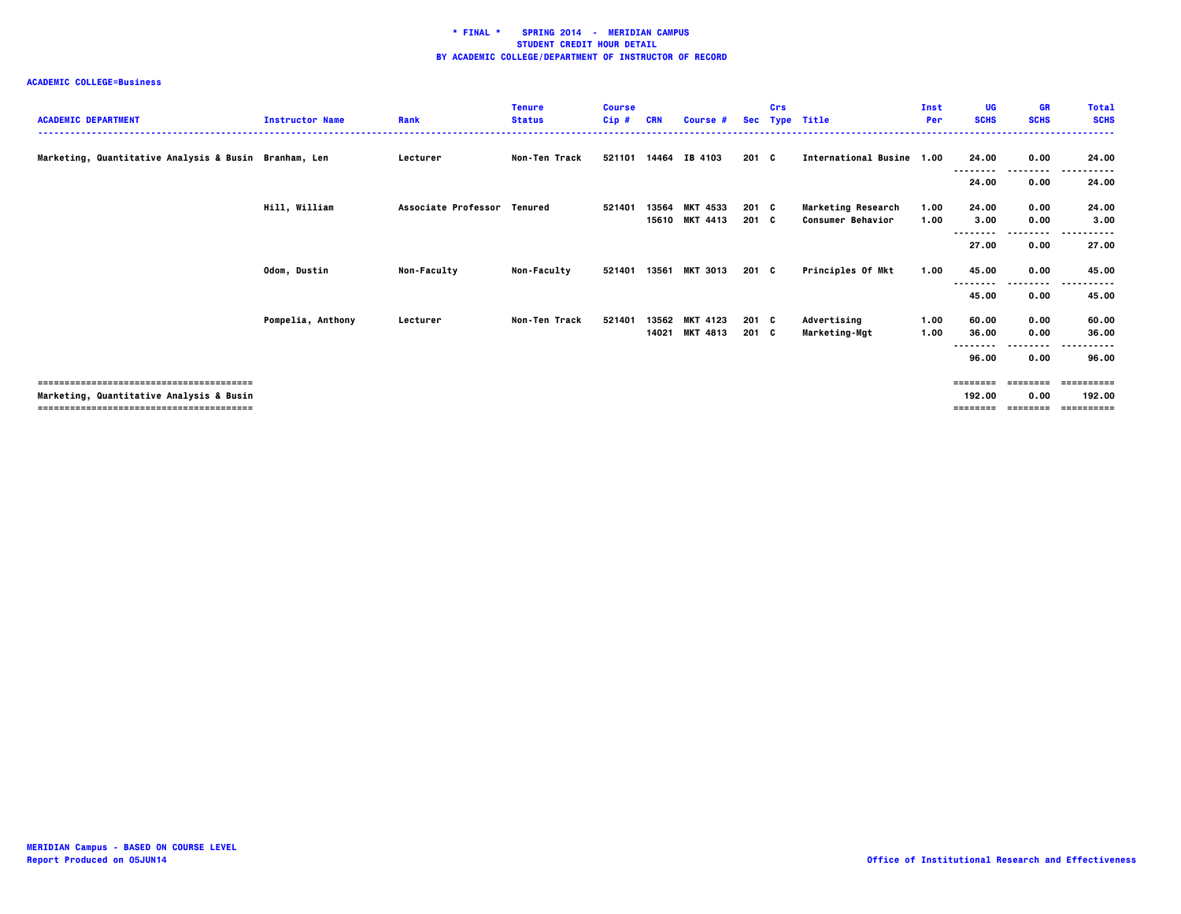| <b>ACADEMIC DEPARTMENT</b>                            | <b>Instructor Name</b> | Rank                        | <b>Tenure</b><br><b>Status</b> | <b>Course</b><br>$Cip$ # | <b>CRN</b> | Course #        |       | Crs | Sec Type Title            | <b>Inst</b><br>Per | UG<br><b>SCHS</b> | <b>GR</b><br><b>SCHS</b> | <b>Total</b><br><b>SCHS</b>        |
|-------------------------------------------------------|------------------------|-----------------------------|--------------------------------|--------------------------|------------|-----------------|-------|-----|---------------------------|--------------------|-------------------|--------------------------|------------------------------------|
| Marketing, Quantitative Analysis & Busin Branham, Len |                        | Lecturer                    | Non-Ten Track                  | 521101                   | 14464      | IB 4103         | 201 C |     | International Busine 1.00 |                    | 24.00             | 0.00<br>--------         | 24.00<br>$\sim$ $\sim$ $\sim$<br>. |
|                                                       |                        |                             |                                |                          |            |                 |       |     |                           |                    | 24.00             | 0.00                     | 24.00                              |
|                                                       | Hill, William          | Associate Professor Tenured |                                | 521401                   | 13564      | <b>MKT 4533</b> | 201 C |     | <b>Marketing Research</b> | 1.00               | 24.00             | 0.00                     | 24.00                              |
|                                                       |                        |                             |                                |                          | 15610      | <b>MKT 4413</b> | 201 C |     | <b>Consumer Behavior</b>  | 1.00               | 3.00<br>--------  | 0.00<br>--------         | 3.00<br>------<br>$- - -$          |
|                                                       |                        |                             |                                |                          |            |                 |       |     |                           |                    | 27.00             | 0.00                     | 27.00                              |
|                                                       | Odom, Dustin           | Non-Faculty                 | <b>Non-Faculty</b>             | 521401                   | 13561      | <b>MKT 3013</b> | 201 C |     | Principles Of Mkt         | 1.00               | 45.00<br>-------- | 0.00<br>--------         | 45.00<br><br>$\cdots$              |
|                                                       |                        |                             |                                |                          |            |                 |       |     |                           |                    | 45.00             | 0.00                     | 45.00                              |
|                                                       | Pompelia, Anthony      | Lecturer                    | Non-Ten Track                  | 521401                   | 13562      | <b>MKT 4123</b> | 201 C |     | Advertising               | 1.00               | 60.00             | 0.00                     | 60.00                              |
|                                                       |                        |                             |                                |                          | 14021      | <b>MKT 4813</b> | 201 C |     | Marketing-Mgt             | 1.00               | 36.00             | 0.00                     | 36.00                              |
|                                                       |                        |                             |                                |                          |            |                 |       |     |                           |                    | --------<br>96.00 | .<br>0.00                | .<br>96.00                         |
|                                                       |                        |                             |                                |                          |            |                 |       |     |                           |                    |                   |                          | ==========                         |
| Marketing, Quantitative Analysis & Busin              |                        |                             |                                |                          |            |                 |       |     |                           |                    | 192.00            | 0.00                     | 192.00                             |
|                                                       |                        |                             |                                |                          |            |                 |       |     |                           |                    | $=$ = = = = = = = | <b>EEEEEEEE</b>          |                                    |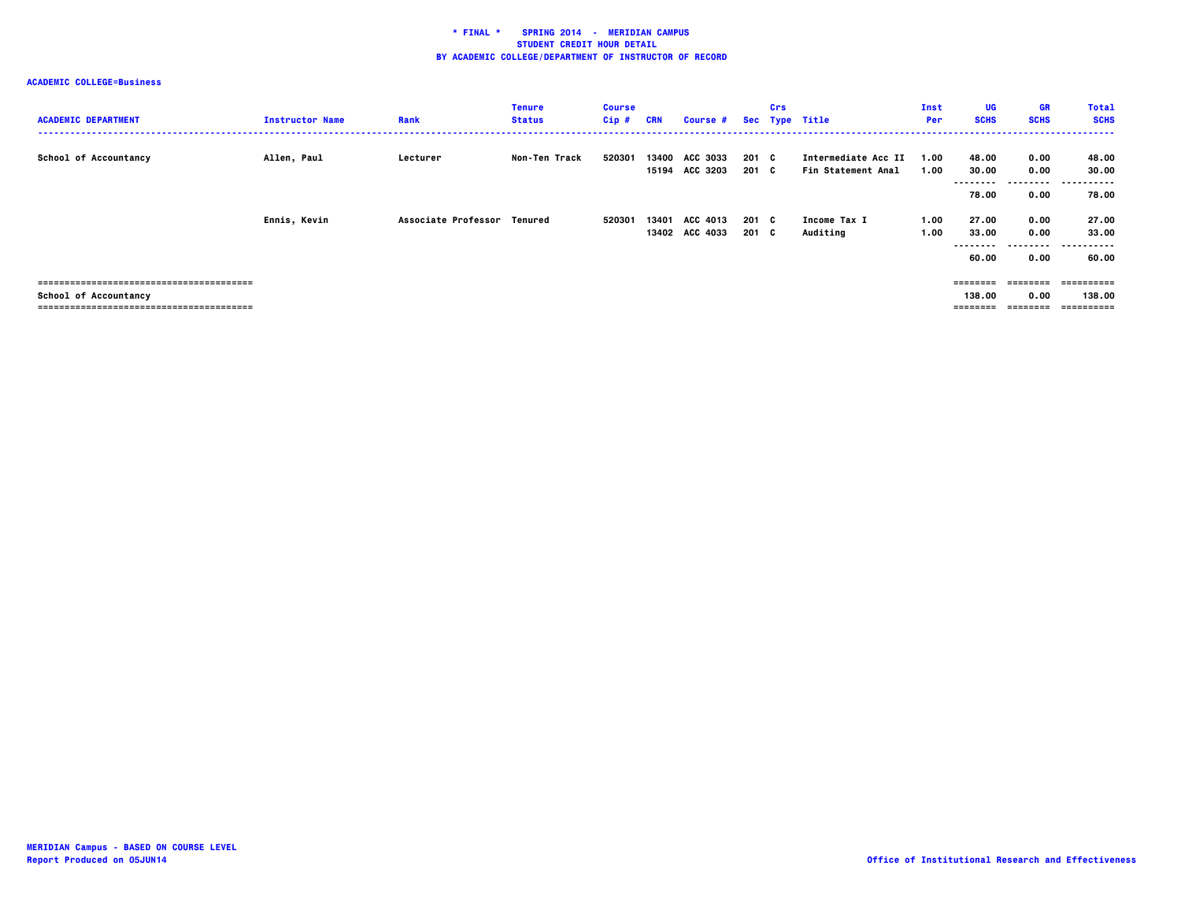| <b>ACADEMIC DEPARTMENT</b>   | <b>Instructor Name</b> | Rank                        | <b>Tenure</b><br><b>Status</b> | <b>Course</b><br>$Cip$ # | <b>CRN</b> | Course #                          |                | Crs | Sec Type Title                            | Inst<br>Per  | UG<br><b>SCHS</b>                    | <b>GR</b><br><b>SCHS</b>          | <b>Total</b><br><b>SCHS</b>         |
|------------------------------|------------------------|-----------------------------|--------------------------------|--------------------------|------------|-----------------------------------|----------------|-----|-------------------------------------------|--------------|--------------------------------------|-----------------------------------|-------------------------------------|
| <b>School of Accountancy</b> | Allen, Paul            | Lecturer                    | Non-Ten Track                  | 520301                   | 13400      | <b>ACC 3033</b><br>15194 ACC 3203 | 201 C<br>201 C |     | Intermediate Acc II<br>Fin Statement Anal | 1.00<br>1.00 | 48.00<br>30.00<br>--------<br>78.00  | 0.00<br>0.00<br>---------<br>0.00 | 48.00<br>30.00<br>.<br>---<br>78.00 |
|                              | Ennis, Kevin           | Associate Professor Tenured |                                | 520301                   | 13401      | ACC 4013<br>13402 ACC 4033        | 201 C<br>201 C |     | <b>Income Tax I</b><br>Auditing           | 1.00<br>1.00 | 27.00<br>33.00<br>---------<br>60.00 | 0.00<br>0.00<br>0.00              | 27.00<br>33.00<br>.<br>60.00        |
| School of Accountancy        |                        |                             |                                |                          |            |                                   |                |     |                                           |              | --------<br>138.00<br>========       | --------<br>0.00<br>---------     | eessesses<br>138.00<br>==========   |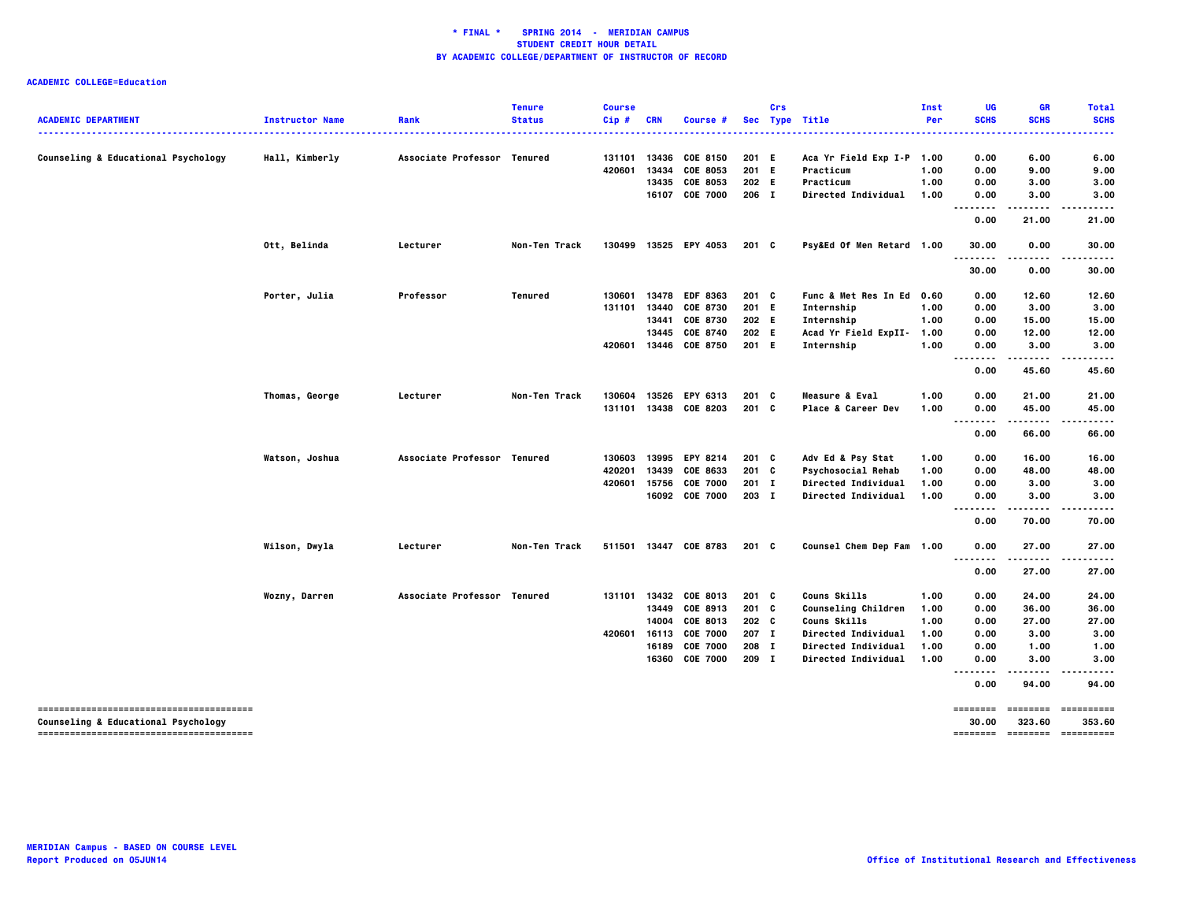| <b>ACADEMIC DEPARTMENT</b>          | <b>Instructor Name</b> | Rank                        | <b>Tenure</b><br><b>Status</b> | <b>Course</b><br>Cip# | <b>CRN</b> | Course #                          |                | <b>Crs</b> | Sec Type Title                                    | Inst<br>Per  | UG<br><b>SCHS</b> | <b>GR</b><br><b>SCHS</b>                                                                                                                                                                                                                                                                                                                                                                                                                                                                         | <b>Total</b><br><b>SCHS</b> |
|-------------------------------------|------------------------|-----------------------------|--------------------------------|-----------------------|------------|-----------------------------------|----------------|------------|---------------------------------------------------|--------------|-------------------|--------------------------------------------------------------------------------------------------------------------------------------------------------------------------------------------------------------------------------------------------------------------------------------------------------------------------------------------------------------------------------------------------------------------------------------------------------------------------------------------------|-----------------------------|
|                                     |                        |                             |                                |                       |            |                                   |                |            |                                                   | .            |                   |                                                                                                                                                                                                                                                                                                                                                                                                                                                                                                  |                             |
| Counseling & Educational Psychology | Hall, Kimberly         | Associate Professor Tenured |                                | 131101                | 13436      | COE 8150                          | 201 E          |            | Aca Yr Field Exp I-P 1.00                         |              | 0.00              | 6.00                                                                                                                                                                                                                                                                                                                                                                                                                                                                                             | 6.00                        |
|                                     |                        |                             |                                | 420601                | 13434      | COE 8053                          | 201 E          |            | Practicum                                         | 1.00         | 0.00              | 9.00                                                                                                                                                                                                                                                                                                                                                                                                                                                                                             | 9.00                        |
|                                     |                        |                             |                                |                       | 13435      | COE 8053                          | 202 E          |            | Practicum                                         | 1.00         | 0.00              | 3.00                                                                                                                                                                                                                                                                                                                                                                                                                                                                                             | 3.00                        |
|                                     |                        |                             |                                |                       |            | 16107 COE 7000                    | 206 I          |            | Directed Individual                               | 1.00         | 0.00              | 3.00<br>.                                                                                                                                                                                                                                                                                                                                                                                                                                                                                        | 3.00                        |
|                                     |                        |                             |                                |                       |            |                                   |                |            |                                                   |              | 0.00              | 21.00                                                                                                                                                                                                                                                                                                                                                                                                                                                                                            | 21.00                       |
|                                     | Ott, Belinda           | Lecturer                    | Non-Ten Track                  | 130499                |            | 13525 EPY 4053                    | $201 \quad C$  |            | Psy&Ed Of Men Retard 1.00                         |              | 30.00             | 0.00<br>$- - - -$                                                                                                                                                                                                                                                                                                                                                                                                                                                                                | 30.00                       |
|                                     |                        |                             |                                |                       |            |                                   |                |            |                                                   |              | 30.00             | 0.00                                                                                                                                                                                                                                                                                                                                                                                                                                                                                             | 30.00                       |
|                                     | Porter, Julia          | Professor                   | Tenured                        | 130601                | 13478      | <b>EDF 8363</b>                   | 201 C          |            | Func & Met Res In Ed                              | 0.60         | 0.00              | 12.60                                                                                                                                                                                                                                                                                                                                                                                                                                                                                            | 12.60                       |
|                                     |                        |                             |                                | 131101                | 13440      | COE 8730                          | 201 E          |            | Internship                                        | 1.00         | 0.00              | 3.00                                                                                                                                                                                                                                                                                                                                                                                                                                                                                             | 3.00                        |
|                                     |                        |                             |                                |                       | 13441      | COE 8730                          | 202 E          |            | Internship                                        | 1.00         | 0.00              | 15.00                                                                                                                                                                                                                                                                                                                                                                                                                                                                                            | 15.00                       |
|                                     |                        |                             |                                |                       | 13445      | COE 8740                          | 202 E          |            | Acad Yr Field ExpII-                              | 1.00         | 0.00              | 12.00                                                                                                                                                                                                                                                                                                                                                                                                                                                                                            | 12.00                       |
|                                     |                        |                             |                                | 420601                | 13446      | COE 8750                          | 201 E          |            | Internship                                        | 1.00         | 0.00<br>.         | 3.00<br>.                                                                                                                                                                                                                                                                                                                                                                                                                                                                                        | 3.00<br>.                   |
|                                     |                        |                             |                                |                       |            |                                   |                |            |                                                   |              | 0.00              | 45.60                                                                                                                                                                                                                                                                                                                                                                                                                                                                                            | 45.60                       |
|                                     | Thomas, George         | Lecturer                    | Non-Ten Track                  | 130604                | 13526      | EPY 6313                          | 201 C          |            | Measure & Eval                                    | 1.00         | 0.00              | 21.00                                                                                                                                                                                                                                                                                                                                                                                                                                                                                            | 21.00                       |
|                                     |                        |                             |                                | 131101                |            | 13438 COE 8203                    | 201 C          |            | Place & Career Dev                                | 1.00         | 0.00              | 45.00                                                                                                                                                                                                                                                                                                                                                                                                                                                                                            | 45.00                       |
|                                     |                        |                             |                                |                       |            |                                   |                |            |                                                   |              | 0.00              | .<br>66.00                                                                                                                                                                                                                                                                                                                                                                                                                                                                                       | 66.00                       |
|                                     | Watson, Joshua         | Associate Professor Tenured |                                | 130603                |            | 13995 EPY 8214                    | $201$ C        |            | Adv Ed & Psy Stat                                 | 1.00         | 0.00              | 16.00                                                                                                                                                                                                                                                                                                                                                                                                                                                                                            | 16.00                       |
|                                     |                        |                             |                                | 420201                | 13439      | COE 8633                          | 201 C          |            | <b>Psychosocial Rehab</b>                         | 1.00         | 0.00              | 48.00                                                                                                                                                                                                                                                                                                                                                                                                                                                                                            | 48.00                       |
|                                     |                        |                             |                                | 420601                | 15756      | <b>COE 7000</b>                   | $201$ I        |            | <b>Directed Individual</b>                        | 1.00         | 0.00              | 3.00                                                                                                                                                                                                                                                                                                                                                                                                                                                                                             | 3.00                        |
|                                     |                        |                             |                                |                       |            | 16092 COE 7000                    | 203 I          |            | Directed Individual                               | 1.00         | 0.00              | 3.00                                                                                                                                                                                                                                                                                                                                                                                                                                                                                             | 3.00                        |
|                                     |                        |                             |                                |                       |            |                                   |                |            |                                                   |              | .<br>0.00         | .<br>70.00                                                                                                                                                                                                                                                                                                                                                                                                                                                                                       | $\cdots$<br>70.00           |
|                                     | Wilson, Dwyla          | Lecturer                    | Non-Ten Track                  |                       |            | 511501 13447 COE 8783             | $201 \quad C$  |            | Counsel Chem Dep Fam 1.00                         |              | 0.00              | 27.00<br>------                                                                                                                                                                                                                                                                                                                                                                                                                                                                                  | 27.00<br>.                  |
|                                     |                        |                             |                                |                       |            |                                   |                |            |                                                   |              | --------<br>0.00  | 27.00                                                                                                                                                                                                                                                                                                                                                                                                                                                                                            | 27.00                       |
|                                     | Wozny, Darren          | Associate Professor Tenured |                                | 131101                | 13432      | <b>COE 8013</b>                   | $201$ C        |            | Couns Skills                                      | 1.00         | 0.00              | 24.00                                                                                                                                                                                                                                                                                                                                                                                                                                                                                            | 24.00                       |
|                                     |                        |                             |                                |                       | 13449      | COE 8913                          | 201 C          |            | Counseling Children                               | 1.00         | 0.00              | 36.00                                                                                                                                                                                                                                                                                                                                                                                                                                                                                            | 36.00                       |
|                                     |                        |                             |                                |                       | 14004      | COE 8013                          | 202 C          |            | Couns Skills                                      | 1.00         | 0.00              | 27.00                                                                                                                                                                                                                                                                                                                                                                                                                                                                                            | 27.00                       |
|                                     |                        |                             |                                | 420601                | 16113      | <b>COE 7000</b>                   | 207 I          |            | Directed Individual                               | 1.00         | 0.00              | 3.00                                                                                                                                                                                                                                                                                                                                                                                                                                                                                             | 3.00                        |
|                                     |                        |                             |                                |                       | 16189      | <b>COE 7000</b><br>16360 COE 7000 | 208 I<br>209 I |            | Directed Individual<br><b>Directed Individual</b> | 1.00<br>1.00 | 0.00<br>0.00      | 1.00<br>3.00                                                                                                                                                                                                                                                                                                                                                                                                                                                                                     | 1.00<br>3.00                |
|                                     |                        |                             |                                |                       |            |                                   |                |            |                                                   |              |                   |                                                                                                                                                                                                                                                                                                                                                                                                                                                                                                  |                             |
|                                     |                        |                             |                                |                       |            |                                   |                |            |                                                   |              | 0.00              | 94.00                                                                                                                                                                                                                                                                                                                                                                                                                                                                                            | 94.00                       |
| Counseling & Educational Psychology |                        |                             |                                |                       |            |                                   |                |            |                                                   |              | ========<br>30.00 | $\begin{array}{cccccccccc} \multicolumn{2}{c}{} & \multicolumn{2}{c}{} & \multicolumn{2}{c}{} & \multicolumn{2}{c}{} & \multicolumn{2}{c}{} & \multicolumn{2}{c}{} & \multicolumn{2}{c}{} & \multicolumn{2}{c}{} & \multicolumn{2}{c}{} & \multicolumn{2}{c}{} & \multicolumn{2}{c}{} & \multicolumn{2}{c}{} & \multicolumn{2}{c}{} & \multicolumn{2}{c}{} & \multicolumn{2}{c}{} & \multicolumn{2}{c}{} & \multicolumn{2}{c}{} & \multicolumn{2}{c}{} & \multicolumn{2}{c}{} & \mult$<br>323.60 | ==========<br>353.60        |
|                                     |                        |                             |                                |                       |            |                                   |                |            |                                                   |              | ========          | ========                                                                                                                                                                                                                                                                                                                                                                                                                                                                                         | ==========                  |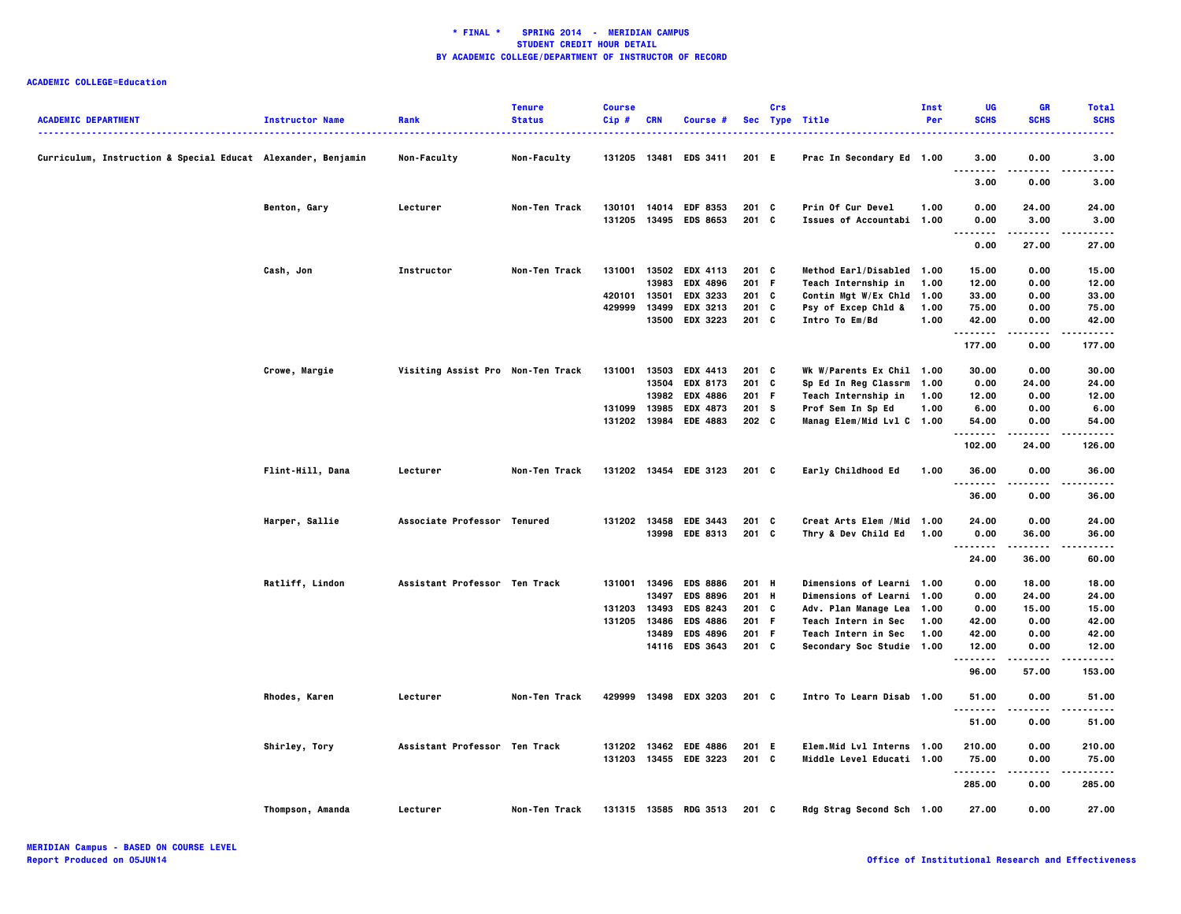| <b>ACADEMIC DEPARTMENT</b>                                   | <b>Instructor Name</b> | Rank                              | <b>Tenure</b><br><b>Status</b> | <b>Course</b><br>Cip# | <b>CRN</b> | Course #                                       |                    | Crs | Sec Type Title                                         | Inst<br>Per | <b>UG</b><br><b>SCHS</b>              | <b>GR</b><br><b>SCHS</b> | <b>Total</b><br><b>SCHS</b><br>. |
|--------------------------------------------------------------|------------------------|-----------------------------------|--------------------------------|-----------------------|------------|------------------------------------------------|--------------------|-----|--------------------------------------------------------|-------------|---------------------------------------|--------------------------|----------------------------------|
| Curriculum, Instruction & Special Educat Alexander, Benjamin |                        | <b>Non-Faculty</b>                | <b>Non-Faculty</b>             | 131205                | 13481      | <b>EDS 3411</b>                                | 201 E              |     | Prac In Secondary Ed 1.00                              |             | 3.00<br>$\overline{\phantom{a}}$<br>. | 0.00                     | 3.00<br>.                        |
|                                                              |                        |                                   |                                |                       |            |                                                |                    |     |                                                        |             | 3.00                                  | 0.00                     | 3.00                             |
|                                                              | Benton, Gary           | Lecturer                          | Non-Ten Track                  | 130101<br>131205      | 14014      | <b>EDF 8353</b><br>13495 EDS 8653              | $201$ C<br>$201$ C |     | Prin Of Cur Devel<br>Issues of Accountabi 1.00         | 1.00        | 0.00<br>0.00                          | 24.00<br>3.00            | 24.00<br>3.00                    |
|                                                              |                        |                                   |                                |                       |            |                                                |                    |     |                                                        |             | .<br>$\sim$ $\sim$ $\sim$<br>0.00     | -----<br>27.00           | $- - - - -$<br>27.00             |
|                                                              | Cash, Jon              | Instructor                        | Non-Ten Track                  | 131001                | 13502      | <b>EDX 4113</b>                                | 201 C              |     | Method Earl/Disabled 1.00                              |             | 15.00                                 | 0.00                     | 15.00                            |
|                                                              |                        |                                   |                                |                       | 13983      | <b>EDX 4896</b>                                | 201 F              |     | Teach Internship in                                    | 1.00        | 12.00                                 | 0.00                     | 12.00                            |
|                                                              |                        |                                   |                                | 420101                | 13501      | <b>EDX 3233</b>                                | 201 C              |     | Contin Mgt W/Ex Chld 1.00                              |             | 33.00                                 | 0.00                     | 33.00                            |
|                                                              |                        |                                   |                                | 429999                | 13499      | EDX 3213                                       | 201 C              |     | Psy of Excep Chld &                                    | 1.00        | 75.00                                 | 0.00                     | 75.00                            |
|                                                              |                        |                                   |                                |                       | 13500      | EDX 3223                                       | 201 C              |     | Intro To Em/Bd                                         | 1.00        | 42.00                                 | 0.00                     | 42.00                            |
|                                                              |                        |                                   |                                |                       |            |                                                |                    |     |                                                        |             | .<br>177.00                           | .<br>0.00                | .<br>177.00                      |
|                                                              | Crowe, Margie          | Visiting Assist Pro Non-Ten Track |                                | 131001                | 13503      | <b>EDX 4413</b>                                | $201$ C            |     | Wk W/Parents Ex Chil 1.00                              |             | 30.00                                 | 0.00                     | 30.00                            |
|                                                              |                        |                                   |                                |                       | 13504      | EDX 8173                                       | 201 C              |     | Sp Ed In Reg Classrm 1.00                              |             | 0.00                                  | 24.00                    | 24.00                            |
|                                                              |                        |                                   |                                |                       | 13982      | <b>EDX 4886</b>                                | 201 F              |     | Teach Internship in                                    | 1.00        | 12.00                                 | 0.00                     | 12.00                            |
|                                                              |                        |                                   |                                | 131099                | 13985      | <b>EDX 4873</b>                                | 201 S              |     | Prof Sem In Sp Ed                                      | 1.00        | 6.00                                  | 0.00                     | 6.00                             |
|                                                              |                        |                                   |                                | 131202                | 13984      | <b>EDE 4883</b>                                | 202 <sub>c</sub>   |     | Manag Elem/Mid Lvl C 1.00                              |             | 54.00                                 | 0.00                     | 54.00                            |
|                                                              |                        |                                   |                                |                       |            |                                                |                    |     |                                                        |             | .<br>102.00                           | .<br>24.00               | <br>126.00                       |
|                                                              | Flint-Hill, Dana       | Lecturer                          | Non-Ten Track                  | 131202                |            | 13454 EDE 3123                                 | 201 C              |     | Early Childhood Ed                                     | 1.00        | 36.00<br>.                            | 0.00<br>$- - - -$        | 36.00<br>$- - - - -$             |
|                                                              |                        |                                   |                                |                       |            |                                                |                    |     |                                                        |             | 36.00                                 | 0.00                     | 36.00                            |
|                                                              | Harper, Sallie         | Associate Professor Tenured       |                                | 131202                | 13458      | <b>EDE 3443</b>                                | 201 C              |     | Creat Arts Elem / Mid 1.00                             |             | 24.00                                 | 0.00                     | 24.00                            |
|                                                              |                        |                                   |                                |                       |            | 13998 EDE 8313                                 | 201 C              |     | Thry & Dev Child Ed                                    | 1.00        | 0.00                                  | 36.00                    | 36.00                            |
|                                                              |                        |                                   |                                |                       |            |                                                |                    |     |                                                        |             | .                                     | .                        | $\cdots \cdots$                  |
|                                                              |                        |                                   |                                |                       |            |                                                |                    |     |                                                        |             | 24.00                                 | 36.00                    | 60.00                            |
|                                                              | Ratliff, Lindon        | Assistant Professor Ten Track     |                                | 131001 13496          |            | <b>EDS 8886</b>                                | 201 H              |     | Dimensions of Learni 1.00                              |             | 0.00                                  | 18.00                    | 18.00                            |
|                                                              |                        |                                   |                                |                       | 13497      | <b>EDS 8896</b>                                | 201 H              |     | Dimensions of Learni 1.00                              |             | 0.00                                  | 24.00                    | 24.00                            |
|                                                              |                        |                                   |                                | 131203                | 13493      | <b>EDS 8243</b>                                | 201 C              |     | Adv. Plan Manage Lea 1.00                              |             | 0.00                                  | 15.00                    | 15.00                            |
|                                                              |                        |                                   |                                | 131205                | 13486      | <b>EDS 4886</b>                                | 201 F              |     | Teach Intern in Sec                                    | 1.00        | 42.00                                 | 0.00                     | 42.00                            |
|                                                              |                        |                                   |                                |                       | 13489      | <b>EDS 4896</b>                                | 201 F              |     | Teach Intern in Sec                                    | 1.00        | 42.00                                 | 0.00                     | 42.00                            |
|                                                              |                        |                                   |                                |                       |            | 14116 EDS 3643                                 | 201 C              |     | Secondary Soc Studie 1.00                              |             | 12.00                                 | 0.00                     | 12.00                            |
|                                                              |                        |                                   |                                |                       |            |                                                |                    |     |                                                        |             | .<br>96.00                            | $- - - -$<br>57.00       | .<br>153.00                      |
|                                                              | Rhodes, Karen          | Lecturer                          | Non-Ten Track                  | 429999                |            | 13498 EDX 3203                                 | 201 C              |     | Intro To Learn Disab 1.00                              |             | 51.00<br>$\sim$ $\sim$                | 0.00                     | 51.00<br>$- - - - -$             |
|                                                              |                        |                                   |                                |                       |            |                                                |                    |     |                                                        |             | 51.00                                 | 0.00                     | 51.00                            |
|                                                              |                        |                                   |                                |                       |            |                                                |                    |     |                                                        |             |                                       |                          |                                  |
|                                                              | Shirley, Tory          | Assistant Professor Ten Track     |                                |                       |            | 131202 13462 EDE 4886<br>131203 13455 EDE 3223 | 201 E<br>201 C     |     | Elem.Mid Lvl Interns 1.00<br>Middle Level Educati 1.00 |             | 210.00                                | 0.00                     | 210.00                           |
|                                                              |                        |                                   |                                |                       |            |                                                |                    |     |                                                        |             | 75.00<br>--------                     | 0.00<br>.                | 75.00<br>.                       |
|                                                              |                        |                                   |                                |                       |            |                                                |                    |     |                                                        |             | 285.00                                | 0.00                     | 285.00                           |
|                                                              | Thompson, Amanda       | Lecturer                          | Non-Ten Track                  | 131315                |            | 13585 RDG 3513                                 | 201 C              |     | Rdg Strag Second Sch 1.00                              |             | 27.00                                 | 0.00                     | 27.00                            |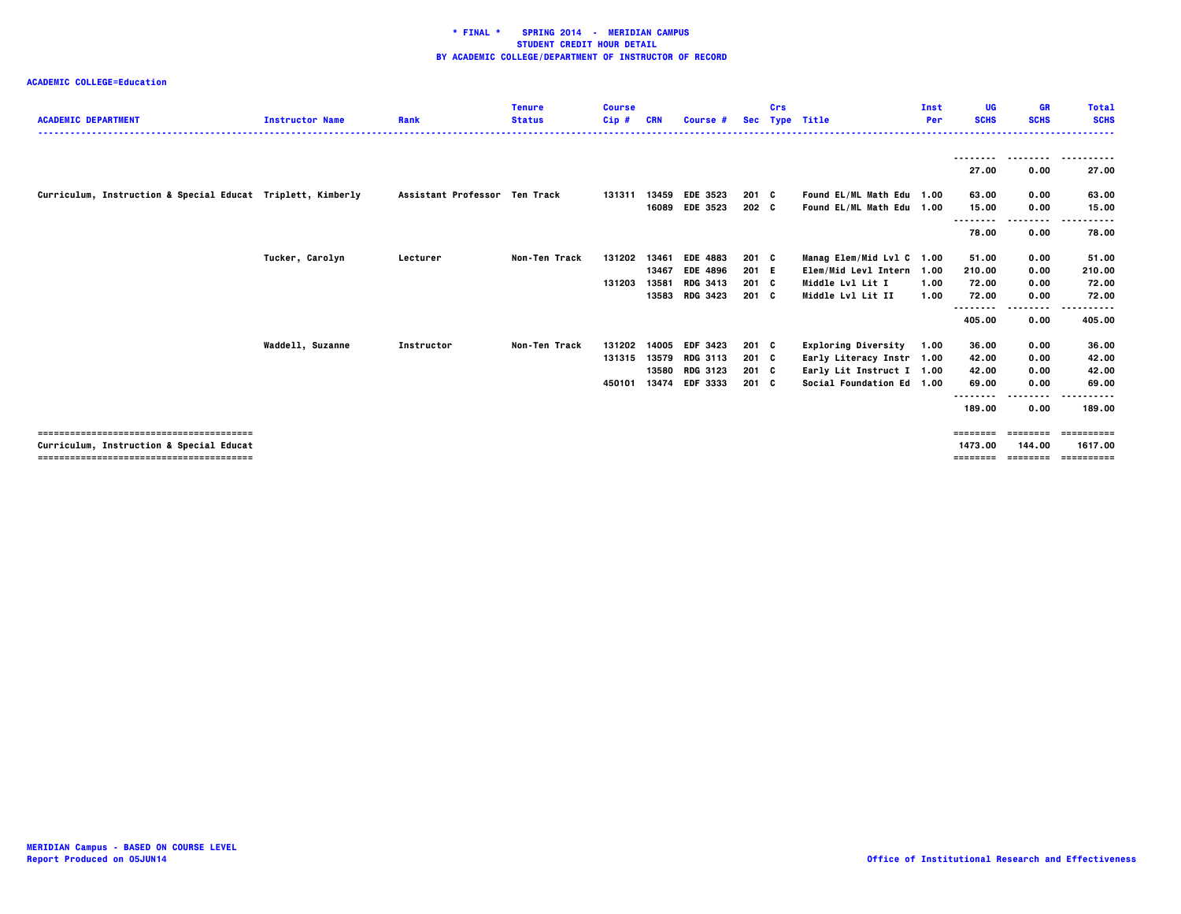| <b>ACADEMIC DEPARTMENT</b>                                  | <b>Instructor Name</b> | Rank                          | <b>Tenure</b><br><b>Status</b> | <b>Course</b><br>Cip# | <b>CRN</b>     | Course #                           |                        | Crs | Sec Type Title                                         | Inst<br>Per | UG<br><b>SCHS</b> | <b>GR</b><br><b>SCHS</b> | <b>Total</b><br><b>SCHS</b> |
|-------------------------------------------------------------|------------------------|-------------------------------|--------------------------------|-----------------------|----------------|------------------------------------|------------------------|-----|--------------------------------------------------------|-------------|-------------------|--------------------------|-----------------------------|
|                                                             |                        |                               |                                |                       |                |                                    |                        |     |                                                        |             | 27.00             | .<br>0.00                | 27.00                       |
| Curriculum, Instruction & Special Educat Triplett, Kimberly |                        | Assistant Professor Ten Track |                                | 131311                | 13459<br>16089 | <b>EDE 3523</b><br><b>EDE 3523</b> | $201 \quad C$<br>202 C |     | Found EL/ML Math Edu 1.00<br>Found EL/ML Math Edu 1.00 |             | 63.00<br>15.00    | 0.00<br>0.00             | 63.00<br>15.00              |
|                                                             |                        |                               |                                |                       |                |                                    |                        |     |                                                        |             | .<br>78.00        | --------<br>0.00         | 78.00                       |
|                                                             | Tucker, Carolyn        | Lecturer                      | Non-Ten Track                  | 131202                | 13461          | <b>EDE 4883</b>                    | $201 \quad C$          |     | Manag Elem/Mid Lvl C                                   | 1.00        | 51.00             | 0.00                     | 51.00                       |
|                                                             |                        |                               |                                |                       | 13467          | <b>EDE 4896</b>                    | 201 E                  |     | Elem/Mid Levl Intern 1.00                              |             | 210.00            | 0.00                     | 210.00                      |
|                                                             |                        |                               |                                | 131203                | 13581          | <b>RDG 3413</b>                    | 201 C                  |     | Middle Lvl Lit I                                       | 1.00        | 72.00             | 0.00                     | 72.00                       |
|                                                             |                        |                               |                                |                       | 13583          | <b>RDG 3423</b>                    | 201 C                  |     | Middle Lvl Lit II                                      | 1.00        | 72.00             | 0.00                     | 72.00                       |
|                                                             |                        |                               |                                |                       |                |                                    |                        |     |                                                        |             | .<br>405.00       | .<br>0.00                | 405.00                      |
|                                                             | Waddell, Suzanne       | Instructor                    | Non-Ten Track                  | 131202                | 14005          | <b>EDF 3423</b>                    | 201 C                  |     | <b>Exploring Diversity</b>                             | 1.00        | 36.00             | 0.00                     | 36.00                       |
|                                                             |                        |                               |                                | 131315                | 13579          | <b>RDG 3113</b>                    | $201 \quad C$          |     | Early Literacy Instr 1.00                              |             | 42.00             | 0.00                     | 42.00                       |
|                                                             |                        |                               |                                |                       | 13580          | <b>RDG 3123</b>                    | 201 C                  |     | Early Lit Instruct I 1.00                              |             | 42.00             | 0.00                     | 42.00                       |
|                                                             |                        |                               |                                | 450101                | 13474          | EDF 3333                           | 201 C                  |     | Social Foundation Ed 1.00                              |             | 69.00             | 0.00                     | 69.00                       |
|                                                             |                        |                               |                                |                       |                |                                    |                        |     |                                                        |             | .                 | --------                 | ------                      |
|                                                             |                        |                               |                                |                       |                |                                    |                        |     |                                                        |             | 189.00            | 0.00                     | 189.00                      |
|                                                             |                        |                               |                                |                       |                |                                    |                        |     |                                                        |             | ========          | ========                 | ==========                  |
| Curriculum, Instruction & Special Educat                    |                        |                               |                                |                       |                |                                    |                        |     |                                                        |             | 1473.00           | 144.00                   | 1617.00                     |
|                                                             |                        |                               |                                |                       |                |                                    |                        |     |                                                        |             | ========          | <b>ESSESSEE</b>          | ==========                  |